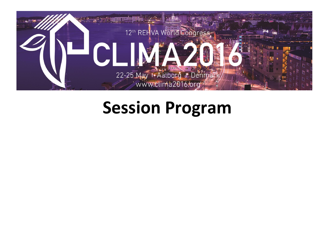

# **Session Program**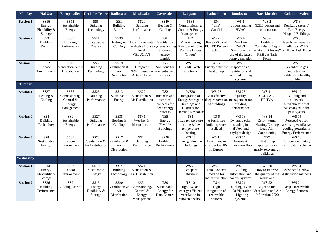| Monday           | Hal Øst                                                | <b>Europahallen</b>                                        | <b>Det Lille Teater</b>                          | Radiosalen                                          | <b>Musiksalen</b>                                                                                 | <b>Gæstesalen</b>                                                                               | Laugstuen                                                                                                                                     | <b>Latinerstuen</b>                                                   | <b>Bondestuen</b>                                                                        | <b>Harlekinsalen</b>                                                                       | Columbinesalen                                                                                                 |
|------------------|--------------------------------------------------------|------------------------------------------------------------|--------------------------------------------------|-----------------------------------------------------|---------------------------------------------------------------------------------------------------|-------------------------------------------------------------------------------------------------|-----------------------------------------------------------------------------------------------------------------------------------------------|-----------------------------------------------------------------------|------------------------------------------------------------------------------------------|--------------------------------------------------------------------------------------------|----------------------------------------------------------------------------------------------------------------|
| <b>Session 1</b> | SS <sub>16</sub><br>Energy<br>Flexibility &<br>Storage | SS12<br>Sustainable<br>Energy                              | SS <sub>6</sub><br>Building<br>Technology        | SS1<br>Building<br>Retrofit                         | SS29<br>Building<br>Performance                                                                   | SS40<br>Heating &<br>Cooling                                                                    | SS35<br>Commissioning,<br>Control & Energy<br>Management                                                                                      | IS4<br>"title"<br>Camfill                                             | WS 1<br>Understanding<br><b>HVAC</b>                                                     | WS <sub>2</sub><br>NZEB design and<br>construction                                         | WS <sub>3</sub><br>Realizing (nearly)<br>Zero Energy<br><b>Hospital Buildings</b>                              |
| <b>Session 2</b> | SS <sub>3</sub><br>Building<br>Retrofit                | <b>SS30</b><br><b>Building</b><br>Performance              | <b>SS11</b><br>Sustainable<br>Energy             | SS39<br>Heating and<br>Cooling                      | IS <sub>5</sub><br>How to renovate<br>to Active House systems aiming<br>level<br><b>VELUX A/S</b> | IS <sub>1</sub><br>Ventilation<br>at saving<br>energy<br>Lindab                                 | IS <sub>2</sub><br>Motortyper og<br>Energieffektivitet<br>Danfoss Drives<br>(1 hour)                                                          | <b>WS 27</b><br>Renew-School<br><b>EU IEE Renew-</b><br>School        | WS 4<br><b>Beat Low</b><br>DeltaT<br>Syndrome by<br>use of the latest<br>pump generation | WS 6<br>Building<br>Commissioning, -<br>what's in it for me?<br><b>REHVA Task</b><br>Force | <b>WS 5</b><br>Nearly zero energy<br>buildings nZEB<br><b>REHVA Task Force</b>                                 |
| <b>Session 3</b> | SS32<br>Indoor<br>Environment                          | SS18<br>Ventilation & Air<br>Distribution                  | SS <sub>5</sub><br>Building<br>Technology        | SS19<br>Ventilation &<br>Air<br>Distribution        | IS <sub>6</sub><br>Design of<br>NZEB based on residential and<br><b>Active House</b>              | IS3<br>Solutions for<br>offices                                                                 | <b>WS 10</b><br><b>BELIMO</b> Water<br>solutions                                                                                              | WS <sub>7</sub><br>Energy efficient<br>heat pump                      | WS 8<br>Inspections of<br>ventilation and<br>air conditioning<br>systems                 |                                                                                            | WS 9<br>Greenhouse gas<br>reduction in<br>buildings & healthy<br>building                                      |
| <b>Tuesday</b>   |                                                        |                                                            |                                                  |                                                     |                                                                                                   |                                                                                                 |                                                                                                                                               |                                                                       |                                                                                          |                                                                                            |                                                                                                                |
| <b>Session 1</b> | <b>SS37</b><br>Heating &<br>Cooling                    | SS36<br>Comissioning,<br>Control &<br>Energy<br>Management | SS25<br>Building<br>Performance                  | SS <sub>13</sub><br>Sustainable<br>Energy           | SS22<br>Ventilation &<br>Air Distribution                                                         | TS <sub>2</sub><br><b>Business</b> and<br>technical<br>concepts for<br>deep energy<br>retrofits | <b>WS30</b><br>Integration of<br>Energy Storage in deep ronovation management for<br><b>Buildings</b> and<br>Districts for<br>Demand Response | <b>WS 28</b><br>Cost-effective<br>of buildings                        | <b>WS 23</b><br>Quality<br>building<br>performance                                       | <b>WS11</b><br>CCHVAC-<br><b>REHVA</b>                                                     | <b>WS 12</b><br>Building and<br>ductwork<br>airtightness: what<br>has changed in the<br>past 5 years           |
| <b>Session 2</b> | SS <sub>4</sub><br><b>Building</b><br>Technology       | SS <sub>9</sub><br>Sustainable<br>Energy                   | SS27<br>Building<br>Performance                  | <b>SS38</b><br>Heating &<br>Cooling                 | SS41<br>Weather &<br>Microclimate                                                                 | TS5<br>Energy<br>Flexible<br><b>Buildings</b>                                                   | TS1<br>High temperature<br>cooling & low<br>temperature<br>heating                                                                            | TS <sub>6</sub><br>A fossil free<br>building stock<br>realized        | <b>WS 13</b><br>Dynamic solar<br>shading in<br>HVAC and<br>daylight design               | <b>WS 14</b><br>Zero Internal<br>Heating/Cooling<br>Load Air-<br>Conditioning              | <b>WS 15</b><br>Perspectives for<br>assessing ventilative<br>cooling potential in<br><b>Energy Performance</b> |
| <b>Session 3</b> | SS <sub>8</sub><br>Sustainable<br>Energy               | SS31<br>Indoor<br>Environment                              | <b>SS23</b><br>Ventialtion &<br>Air Distribution | SS17<br>Ventilation &<br>Air<br>Distribution        | SS24<br>Building<br>Performance                                                                   | <b>SS28</b><br>Building<br>Performance                                                          | <b>WS 26</b><br><b>Energy Flexible</b><br><b>Buildings</b>                                                                                    | <b>WS16</b><br>How to make<br>in Europe                               | <b>WS 17</b><br>Eurovent<br>cheaper GSHPs Innovation Hub                                 | TS7<br>Heat pump<br>application in<br>nearly zero energy<br>buildings                      | <b>WS 18</b><br>European voluntary<br>certification scheme                                                     |
| Wednesday        |                                                        |                                                            |                                                  |                                                     |                                                                                                   |                                                                                                 |                                                                                                                                               |                                                                       |                                                                                          |                                                                                            |                                                                                                                |
| <b>Session 1</b> | SS14<br>Energy<br>Flexibility &<br>Storage             | <b>SS33</b><br>Indoor<br>Environment                       | <b>SS10</b><br>Sustainable<br>Energy             | SS7<br><b>Building</b><br>Technology                | SS21<br>Ventilation &<br>Air Distribution                                                         |                                                                                                 | <b>WS 29</b><br>Occupant<br>Behaviour                                                                                                         | <b>WS 25</b><br><b>Total Concept</b><br>method for<br>major reduction | <b>WS 19</b><br><b>Building</b><br>automation and<br>control systems                     | <b>WS 20</b><br>How to improve<br>the quality of the<br>works and                          | <b>WS 31</b><br>Advanced airflow<br>distribution methods                                                       |
| <b>Session 2</b> | SS26<br>Building<br>Performance                        | SS <sub>2</sub><br><b>Building Retrofit</b>                | SS15<br>Energy<br>Flexibility &<br>Storage       | <b>SS20</b><br>Ventilation &<br>Air<br>Distribution | SS34<br>Comissioning,<br>Control $&$<br>Energy<br>Management                                      | TS9<br>Sustainable<br>Energy for<br>Data Centres                                                | <b>TS 10</b><br>High IEQ and<br>energy-efficient<br>ventilation in<br>renovated school                                                        | TS <sub>4</sub><br>High<br>integration of<br>renewable<br>sources     | <b>WS 21</b><br>Coupling HVAC<br>$+$ Refrigeration<br>$+$ Lighting<br>systems            | <b>WS 22</b><br>Agenda for<br>Ventilation and Air<br>Infiltration 2020                     | <b>WS 24</b><br>Deep - Renewable<br><b>Energy Sources</b>                                                      |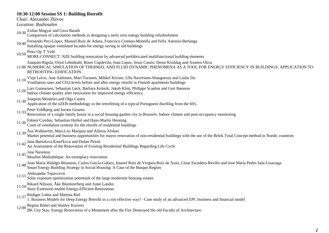# **10:30-12:00 Session SS 1: Building Retrofit**

Chair: Alexander Zhivov

*Location: Radiosalen*

10:30 Zoltan Magyar and Geza Barath

Comparison of calculation methods in designing a nerly zero energy building refurbishment

10:40 Fernando Peci-López, Manuel Ruiz de Adana, Francisco Comino-Montilla and Felix Antonio-Berlanga

Installing opaque ventilated facades for energy saving in old buildings

- 
- 10:50 Peter Op 'T Veld MORE-CONNECT: NZE building renovation by advanced prefabricated multifunctional building elements
- Joaquim Rigola, Oriol Lehmkuhl, Roser Capdevila, Joan Lopez, Jesus Castro, Deniz Kizildag and Assensi Oliva
- 11:00 NUMERICAL SIMULATION OF THERMAL AND FLUID DYNAMIC PHENOMENA AS A TOOL FOR ENERGY EFFICIENCY IN BUILDINGS. APPLICATION TO RETROFITING EDIFICATION.

11:10 Virpi Leivo, Anu Aaltonen, Mari Turunen, Mihkel Kiviste, Ulla Haverinen-Shaugnessy and Liuliu Du Ventilation rates and CO2-levels before and after energy retrofit in Finnish apartments buildings

11:20 Lars Gunnarsen, Sebastian Løck, Barbara Kolarik, Jakob Klint, Philippe Scanlon and Gert Rønnow

- Indoor climate quality after renovation for improved energy efficiency
- 11:30 Joaquim Monteiro and Olga Castro
- Application of the nZEB methodology in the retrofitting of a typical Portuguese dwelling from the 60's.
- 11:33 Peter Foldbjerg and Jeroen Geuens

Renovation of a single family house in a social housing garden city in Brussels: Indoor climate and post-occupancy monitoring

- 
- 11:36 Fabien Coydon, Sebastian Herkel and Hans-Martin Henning Costs of ventilation systems for the retrofit of residential buildings
- 11:39 Åsa Wahlström, Mari-Liis Maripuu and Alireza Afshari

Market potential and business opportunities for mayor renovation of non-residential buildings with the use of the Belok Total Concept method in Nordic countries

- 
- 11:42 Jana Bartošová Kmeťková and Dušan Petráš An Assessment of the Renovation of Existing Residential Buildings Regarding Life Cycle
- 
- 11:45 Jose Naveteur Moulins Mediathèque: An exemplary renovation
- 11:48 Juan Maria Hidalgo-Betanzos, Carlos García-Gáfaro, Imanol Ruíz de Vergara-Ruíz de Azúa, César Escudero-Revilla and Jose María Pedro Sala-Lizarraga
- Smart Energy Building Strategy in Social Housing: A Case of the Basque Region
- 11:51 Aleksandar Tepavcevic
- Solar exposure optimization potentials of the large modernist housing estates
- 11:54 Rikard Nilsson, Åke Blomsterberg and Anne Landin Story Extension enable Energy-Efficient Renovation
	-
- 11:57 Rüdiger Lohse and Martina Riel
	- 1. Business Models for Deep Energy Retrofit in a cost effective way? –Case study of an advanced EPC business and financial model
- 12:00 Regina Bokel and Stanley Kurvers
- BK City Stay, Energy Renovation of a Monument after the Fire Destroyed the old Faculty of Architecture.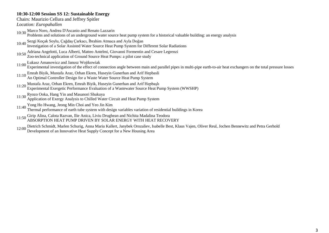# **10:30-12:00 Session SS 12: Sustainable Energy**

Chairs: Maurizio Cellura and Jeffrey Spitler

*Location: Europahallen*

10:30 Marco Noro, Andrea D'Ascanio and Renato Lazzarin

Problems and solutions of an underground water source heat pump system for a historical valuable building: an energy analysis

10:40 Sezgi Koçak Soylu, Çağdaş Çarkacı, İbrahim Atmaca and Ayla Doğan

Investigation of a Solar Assisted Water Source Heat Pump System for Different Solar Radiations

10:50 Adriana Angelotti, Luca Alberti, Matteo Antelmi, Giovanni Formentin and Cesare Legrenzi

Zoo-technical application of Ground Source Heat Pumps: a pilot case study

11:00 Łukasz Amanowicz and Janusz Wojtkowiak

Experimental investigation of the effect of connection angle between main and parallel pipes in multi-pipe earth-to-air heat exchangers on the total pressure losses

11:10 Emrah Biyik, Mustafa Araz, Orhan Ekren, Huseyin Gunerhan and Arif Hepbasli

An Optimal Controller Design for a Waste Water Source Heat Pump System

- 11:20 Mustafa Araz, Orhan Ekren, Emrah Biyik, Huseyin Gunerhan and Arif Hepbaşlı Experimental Exergetic Performance Evaluation of a Wastewater Source Heat Pump System (WWSHP)
- 11:30 Ryozo Ooka, Hang Yin and Masanori Shukuya
- Application of Exergy Analysis to Chilled Water Circuit and Heat Pump System
- 
- 11:40 Yong Ho Hwang, Jeong Min Choi and Yeo Jin Kim Thermal performance of earth tube system with design variables variation of residential buildings in Korea

11:50 Girip Alina, Calota Razvan, Ilie Anica, Liviu Drughean and Nichita Madalina Teodora ABSORPTION HEAT PUMP DRIVEN BY SOLAR ENERGY WITH HEAT RECOVERY

12:00 Dietrich Schmidt, Marlen Schurig, Anna Maria Kallert, Janybek Orozaliev, Isabelle Best, Klaus Vajen, Oliver Reul, Jochen Bennewitz and Petra Gerhold Development of an Innovative Heat Supply Concept for a New Housing Area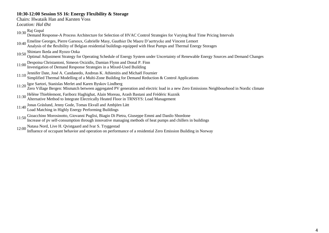# **10:30-12:00 Session SS 16: Energy Flexibility & Storage**

Chairs: Hwataik Han and Karsten Voss

*Location: Hal Øst*

- 10:30  $\frac{\text{Raj}}{\text{A}}$  Gopal Demand Response-A Process Architecture for Selection of HVAC Control Strategies for Varying Real Time Pricing Intervals
- 10:40 Emeline Georges, Pierre Garsoux, Gabrielle Masy, Gauthier De Maere D'aertrycke and Vincent Lemort
- Analysis of the flexibility of Belgian residential buildings equipped with Heat Pumps and Thermal Energy Storages
- 10:50 Shintaro Ikeda and Ryozo Ooka
- Optimal Adjustment Strategy for Operating Schedule of Energy System under Uncertainty of Renewable Energy Sources and Demand Changes
- 11:00 Despoina Christantoni, Simeon Oxizidis, Damian Flynn and Donal P. Finn Investigation of Demand Response Strategies in a Mixed-Used Building
- 11:10 Jennifer Date, José A. Candanedo, Andreas K. Athienitis and Michaël Fournier Simplified Thermal Modelling of a Multi-Zone Building for Demand Reduction & Control Applications
- 

11:20 Igor Sartori, Stanislas Merlet and Karen Byskov Lindberg Zero Village Bergen: Mismatch between aggregated PV generation and electric load in a new Zero Emissions Neighbourhood in Nordic climate

- 11:30 Hélène Thieblemont, Fariborz Haghighat, Alain Moreau, Arash Bastani and Frédéric Kuznik
- Alternative Method to Integrate Electrically Heated Floor in TRNSYS: Load Management
- 11:40 Jonas Gräslund, Jenny Gode, Tomas Ekvall and Ambjörn Lätt
- Load Matching in Highly Energy Performing Buildings
- 11:50 Gioacchino Morosinotto, Giovanni Puglisi, Biagio Di Pietra, Giuseppe Emmi and Danilo Sbordone Increase of pv self-consumption through innovative managing methods of heat pumps and chillers in buildings
- 12:00 Natasa Nord, Live H. Qvistgaard and Ivar S. Tryggestad

Influence of occupant behavior and operation on performance of a residential Zero Emission Building in Norway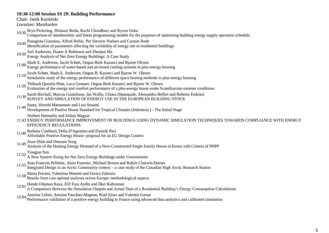#### **10:30-12:00 Session SS 29: Building Performance**

Chair: Jarek Kurnitski *Location: Musiksalen*

- 10:30 Bryn Pickering, Shintaro Ikeda, Ruchi Choudhary and Ryozo Ooka
- Comparison of metaheuristic and linear programming models for the purposes of optimising building energy supply operation schedule.
- 10:40 Panagiota Gianniou, Alfred Heller, Per Sieverts Nielsen and Carsten Rode
- Identification of parameters affecting the variability of energy use in residential buildings
- 10:50 Joel Anderson, Duane A Robinson and Zhenjun Ma
- Energy Analysis of Net Zero Energy Buildings: A Case Study
- 11:00 Mads E. Andersen, Jacob Schøtt, Ongun Berk Kazanci and Bjarne Olesen Energy performance of water-based and air-based cooling systems in plus-energy housing
- 11:10 Jacob Schøtt, Mads E. Andersen, Ongun B. Kazanci and Bjarne W. Olesen Simulation study of the energy performance of different space heating methods in plus-energy housing
- 11:20 Thibault Quentin Péan, Luca Gennari, Ongun Berk Kazanci and Bjarne W. Olesen Evaluation of the energy and comfort performance of a plus-energy house under Scandinavian summer conditions
- 11:30 Sarah Birchall, Marcus Gustafsson, Ian Wallis, Chiara Dipasquale, Alessandro Bellini and Roberto Fedrizzi SURVEY AND SIMULATION OF ENERGY USE IN THE EUROPEAN BUILDING STOCK
- 11:40 Santy, Hiroshi Matsumoto and Lusi Susanti
- Development of Passive House Standard for Tropical Climates (Indonesia ) The Initial Stage

Norbert Harmathy and Zoltan Magyar

- 11:43 ENERGY PERFORMANCE IMPROVEMENT OF BUILDINGS USING DYNAMIC SIMULATION TECHNIQUES TOWARDS COMPLIANCE WITH ENERGY EFFICIENCY REGULATIONS
- 11:46 Barbara Cuniberti, Delia D'Agostino and Daniele Paci Affordable Positive Energy House: proposal for an EU Design Contest

# 11:49 Jisoo Shim and Doosam Song

- Analysis of the Heating Energy Demand of a New-Constructed Single Family House in Korea with Criteria of PHPP
- 11:52 Yongjun Sun
	- A New System Sizing for Net Zero Energy Buildings under Uncertainties
- 11:55 Jean-Francois Pelletier, Alain Fournier, Michael Brown and Robyn Chatwin-Davies
- Integrated Design in an Arctic Community context a case study of the Canadian High Arctic Research Station
- 11:58 Maria Ferrara, Valentina Monetti and Enrico Fabrizio
- Results from cost optimal analyses across Europe: methodological aspects
- 12:01 Hande Odaman Kaya, Elif Esra Aydin and İlker Kahraman
	- A Comparison Between the Simulation Outputs and Actual Data of a Residential Building"s Energy Consumption Calculations
- 12:04 Antoine Lefort, Antoine Fauchier-Magnan, Riad Ziour and Valentin Gavan

Performance validation of a positive energy building in France using advanced data analytics and calibrated simulation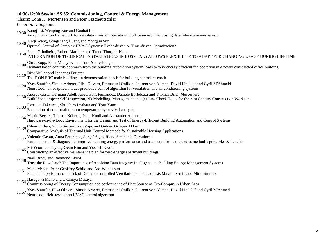#### **10:30-12:00 Session SS 35: Commissioning, Control & Energy Management**

Chairs: Lone H. Mortensen and Peter Tzscheutschler

*Location: Laugstuen*

- 10:30 Kangji Li, Wenping Xue and Guohai Liu
- An optimization framework for ventilation system operation in office environment using data interactive mechanism
- 10:40 Junqi Wang, Gongsheng Huang and Yongjun Sun
- Optimal Control of Complex HVAC Systems: Event-driven or Time-driven Optimization?
- 
- 10:50 Janne Grindheim, Robert Martinez and Trond Thorgeir Harsem<br>10:50 INTEGRATION OF TECHNICAL INSTALLATIONS IN HOSPITALS ALLOWS FLEXIBILITY TO ADAPT FOR CHANGING USAGE DURING LIFETIME
- 11:00 Chris Kopp, Petar Mihaylov and Tore André Haugen
	- Demand based controls approach from the building automation system leads to very energy efficient fan operation in a newly constructed office building
- 
- 11:10 Dirk Müller and Johannes Fütterer The E.ON ERC main building a demonstration bench for building control research
- 11:20 Yves Stauffer, Simon Arberet, Elisa Olivero, Emmanuel Onillon, Laurent von Allmen, David Lindelof and Cyril M'Ahmeld<br>NeuroCool: an adaptive, model-predictive control algorithm for ventilation and air conditioning sys
- 11:30 Andrea Costa, Germain Adell, Angel Font Fernandez, Daniele Bortoluzzi and Thomas Brian Messervery
- Built2Spec project: Self-Inspection, 3D Modelling, Management and Quality- Check Tools for the 21st Century Construction Worksite
- 11:33 Ryosuke Takeuchi, Shuichiro Imahara and Toru Yano
- Estimation of comfortable room temperature by survival analysis
- 11:36 Martin Becker, Thomas Köberle, Peter Knoll and Alexander Adlhoch
	- Hardware-in-the-Loop Environment for the Design and Test of Energy-Efficient Building Automation and Control Systems
- 11:39 Cihan Turhan, Silvio Simani, Ivan Zajic and Gülden Gökçen Akkurt Comparative Analysis of Thermal Unit Control Methods for Sustainable Housing Applications
- 
- 11:42 Valentin Gavan, Anna Perehinec, Sergeï Agapoff and Stéphanie Derouineau Fault detection & diagnosis to improve building energy performance and users comfort: expert rules method"s principles & benefits
- 11:45 Mi-Yeon Lee, Hyung-Geun Kim and Yoon-Ji Kwon
- Constructing an effective maintenance plan for zero-energy apartment buildings
- 
- 11:48 Niall Brady and Raymond Llyod Trust the Raw Data? The Importance of Applying Data Integrity Intelligence to Building Energy Management Systems
- 11:51 Mads Mysen, Peter Geoffrey Schild and Åsa Wahlstrøm
- Functional performance check of Demand Controlled Ventilation The load tests Max-max-min and Min-min-max
- 11:54 Hasegawa Maho and Okumiya Masaya
	- Commissioning of Energy Consumption and performance of Heat Source of Eco-Campus in Urban Area
- 11:57 Yves Stauffer, Elisa Olivero, Simon Arberet, Emmanuel Onillon, Laurent von Allmen, David Lindelöf and Cyril M'Ahmed Neurocool: field tests of an HVAC control algorithm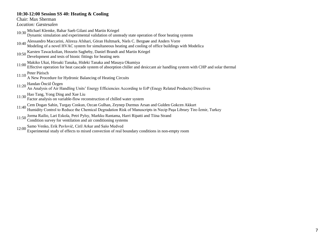#### **10:30-12:00 Session SS 40: Heating & Cooling**

Chair: Max Sherman

*Location: Gæstesalen*

- 10:30 Michael Klemke, Bahar Saeb Gilani and Martin Kriegel
- Dynamic simulation and experimental validation of unsteady state operation of floor heating systems
- 10:40 Alessandro Maccarini, Alireza Afshari, Göran Hultmark, Niels C. Bergsøe and Anders Vorre
- Modeling of a novel HVAC system for simultaneous heating and cooling of office buildings with Modelica
- 10:50 Karsten Tawackolian, Hossein Sagheby, Daniel Brandt and Martin Kriegel
- Development and tests of bionic fittings for heating nets
- 11:00 Makiko Ukai, Hiroaki Tanaka, Hideki Tanaka and Masaya Okumiya
	- Effective operation for heat cascade system of absorption chiller and desiccant air handling system with CHP and solar thermal
- 11:10 Peter Pärisch
- A New Procedure for Hydronic Balancing of Heating Circuits
- 11:20 Handan Öncül Özgen
- An Analysis of Air Handling Units" Energy Efficiencies According to ErP (Enegy Related Products) Directives
- 
- 11:30 Hao Tang, Yong Ding and Xue Liu Factor analysis on variable-flow reconstruction of chilled water system
- 11:40 Cem Dogan Sahin, Turgay Coskun, Ozcan Gulhan, Zeynep Durmus Arsan and Gulden Gokcen Akkurt Humidity Control to Reduce the Chemical Degradation Risk of Manuscripts in Necip Paşa Library Tire-İzmir, Turkey
- 11:50 Jorma Railio, Lari Eskola, Petri Pylsy, Markku Rantama, Harri Ripatti and Tiina Strand Condition survey for ventilation and air conditioning systems
- 
- 12:00 Samo Venko, Erik Pavlovič, Ciril Arkar and Sašo Medved
	- Experimental study of effects to mixed convection of real boundary conditions in non-empty room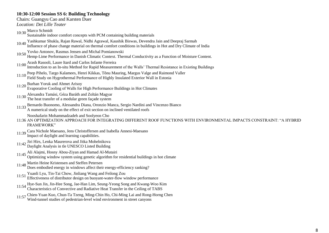#### **10:30-12:00 Session SS 6: Building Technology**

*Location: Det Lille Teater*

- 10:30 Marco Schmidt Sustainable indoor comfort concepts with PCM containing building materials 10:40 Yashkumar Shukla, Rajan Rawal, Nidhi Agrawal, Kaushik Biswas, Devendra Jain and Deepraj Sarmah Influence of phase change material on thermal comfort conditions in buildings in Hot and Dry Climate of India
- 10:50 Yovko Antonov, Rasmus Jensen and Michal Pomianowski
- Hemp-Lime Performance in Danish Climatic Context. Thermal Conductivity as a Function of Moisture Content.
- 11:00 Arash Rasooli, Laure Itard and Carlos Infante Ferreira
- Introduction to an In-situ Method for Rapid Measurement of the Walls" Thermal Resistance in Existing Buildings
- 11:10 Peep Pihelo, Targo Kalamees, Henri Kikkas, Tõnu Mauring, Margus Valge and Raimond Valler Field Study on Hygrothermal Performance of Highly Insulated Exterior Wall in Estonia
- 
- 11:20 Burhan Yoruk and Ahmet Arisoy Evaporative Cooling of Walls for High Performance Buildings in Hot Climates
- 11:30 Alexandra Tamási, Géza Baráth and Zoltán Magyar
- The heat transfer of a modular green façade system
- 11:33 Bernardo Buonomo, Alessandra Diana, Oronzio Manca, Sergio Nardini and Vincenzo Bianco
- A numerical study on the effect of exit section on inclined ventilated roofs

Nooshafarin Mohammadzadeh and Soolyeon Cho

- 11:36 AN OPTIMIZATION APPROACH FOR INTEGRATING DIFFERENT ROOF FUNCTIONS WITH ENVIRONMENTAL IMPACTS CONSTRAINT: "A HYBRID FRAMEWORK"
- 11:39 Cara Nichole Maesano, Jens Christoffersen and Isabella Annesi-Maesano Impact of daylight and learning capabilities.
- 11:42 Jiri Hirs, Lenka Maurerova and Jitka Mohelnikova Daylight Analysis in tle UNESCO Listed Building
- 
- 11:45 Ali Alajmi, Hosny Abou-Ziyan and Hamad Al-Mutairi Optimizing window system using genetic algorithm for residential buildings in hot climate
- 
- 11:48 Martin Heine Kristensen and Steffen Petersen Does embodied energy in windows affect their energy-efficiency ranking?
- 11:51 Yuanli Lyu, Tin-Tai Chow, Jinliang Wang and Feilong Zou
- Effectiveness of distributor design on buoyant-water-flow window performance
- 11:54 Hye-Sun Jin, Jin-Hee Song, Jae-Han Lim, Seung-Yeong Song and Kwang-Woo Kim Characteristics of Convective and Radiative Heat Transfer in the Ceiling of TABS
- 11:57 Chien-Yuan Kuo, Chun-Ta Tzeng, Ming-Chin Ho, Chi-Ming Lai and Rong-Horng Chen Wind-tunnel studies of pedestrian-level wind environment in street canyons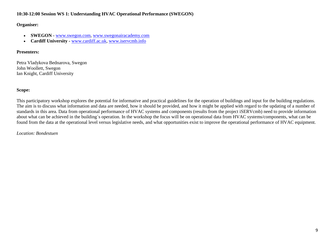# **10:30-12:00 Session WS 1: Understanding HVAC Operational Performance (SWEGON)**

# **Organiser:**

- **SWEGON -** www.swegon.com, www.swegonairacademy.com
- **Cardiff University -** www.cardiff.ac.uk, www.iservcmb.info

# **Presenters:**

Petra Vladykova Bednarova, Swegon John Woollett, Swegon Ian Knight, Cardiff University

# **Scope:**

This participatory workshop explores the potential for informative and practical guidelines for the operation of buildings and input for the building regulations. The aim is to discuss what information and data are needed, how it should be provided, and how it might be applied with regard to the updating of a number of standards in this area. Data from operational performance of HVAC systems and components (results from the project iSERVcmb) need to provide information about what can be achieved in the building´s operation. In the workshop the focus will be on operational data from HVAC systems/components, what can be found from the data at the operational level versus legislative needs, and what opportunities exist to improve the operational performance of HVAC equipment.

# *Location: Bondestuen*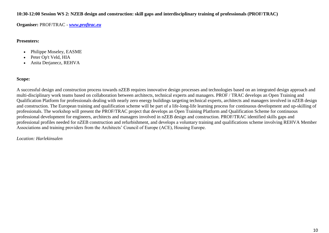**10:30-12:00 Session WS 2: NZEB design and construction: skill gaps and interdisciplinary training of professionals (PROF/TRAC)**

**Organiser:** PROF/TRAC - *www.proftrac.eu*

# **Presenters:**

- Philippe Moseley, EASME
- Peter Op't Veld, HIA
- Anita Derjanecz, REHVA

# **Scope:**

A successful design and construction process towards nZEB requires innovative design processes and technologies based on an integrated design approach and multi-disciplinary work teams based on collaboration between architects, technical experts and managers. PROF / TRAC develops an Open Training and Qualification Platform for professionals dealing with nearly zero energy buildings targeting technical experts, architects and managers involved in nZEB design and construction. The European training and qualification scheme will be part of a life-long-life learning process for continuous development and up-skilling of professionals. The workshop will present the PROF/TRAC project that develops an Open Training Platform and Qualification Scheme for continuous professional development for engineers, architects and managers involved in nZEB design and construction. PROF/TRAC identified skills gaps and professional profiles needed for nZEB construction and refurbishment, and develops a voluntary training and qualifications scheme involving REHVA Member Associations and training providers from the Architects' Council of Europe (ACE), Housing Europe.

# *Location: Harlekinsalen*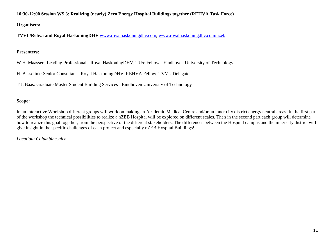**10:30-12:00 Session WS 3: Realizing (nearly) Zero Energy Hospital Buildings together (REHVA Task Force)**

**Organisers:**

**TVVL/Rehva and Royal HaskoningDHV** www.royalhaskoningdhv.com, www.royalhaskoningdhv.com/nzeb

# **Presenters:**

W.H. Maassen: Leading Professional - Royal HaskoningDHV, TU/e Fellow - Eindhoven University of Technology

H. Besselink: Senior Consultant - Royal HaskoningDHV, REHVA Fellow, TVVL-Delegate

T.J. Baas: Graduate Master Student Building Services - Eindhoven University of Technology

# **Scope:**

In an interactive Workshop different groups will work on making an Academic Medical Centre and/or an inner city district energy neutral areas. In the first part of the workshop the technical possibilities to realize a nZEB Hospital will be explored on different scales. Then in the second part each group will determine how to realize this goal together, from the perspective of the different stakeholders. The differences between the Hospital campus and the inner city district will give insight in the specific challenges of each project and especially nZEB Hospital Buildings!

# *Location: Columbinesalen*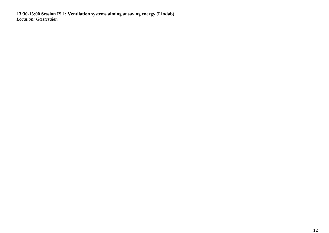#### **13:30-15:00 Session IS 1: Ventilation systems aiming at saving energy (Lindab)** *Location: Gæstesalen*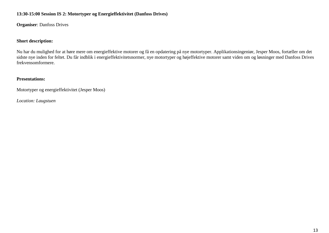# **13:30-15:00 Session IS 2: Motortyper og Energieffektivitet (Danfoss Drives)**

**Organiser**: Danfoss Drives

#### **Short description:**

Nu har du mulighed for at høre mere om energieffektive motorer og få en opdatering på nye motortyper. Applikationsingeniør, Jesper Moos, fortæller om det sidste nye inden for feltet. Du får indblik i energieffektivitetsnormer, nye motortyper og højeffektive motorer samt viden om og løsninger med Danfoss Drives frekvensomformere.

#### **Presentations:**

Motortyper og energieffektivitet (Jesper Moos)

*Location: Laugstuen*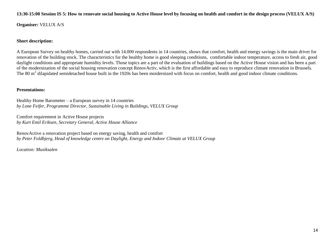#### **13:30-15:00 Session IS 5: How to renovate social housing to Active House level by focusing on health and comfort in the design process (VELUX A/S)**

**Organiser:** VELUX A/S

#### **Short description:**

A European Survey on healthy homes, carried out with 14.000 respondents in 14 countries, shows that comfort, health and energy savings is the main driver for renovation of the building stock. The characteristics for the healthy home is good sleeping conditions, comfortable indoor temperature, access to fresh air, good daylight conditions and appropriate humidity levels. Those topics are a part of the evaluation of buildings based on the Active House vision and has been a part of the modernization of the social housing renovation concept RenovActiv, which is the first affordable and easy to reproduce climate renovation in Brussels. The 80  $m<sup>2</sup>$  dilapidated semidetached house built in the 1920s has been moidernized with focus on comfort, health and good indoor climate conditions.

#### **Presentations:**

Healthy Home Barometer – a European survey in 14 countries *by Lone Feifer, Programme Director, Sustainable Living in Buildings, VELUX Group*

Comfort requirement in Active House projects *by Kurt Emil Eriksen, Secretary General, Active House Alliance* 

RenovActive a renovation project based on energy saving, health and comfort *by Peter Foldbjerg, Head of knowledge centre on Daylight, Energy and Indoor Climate at VELUX Group* 

*Location: Musiksalen*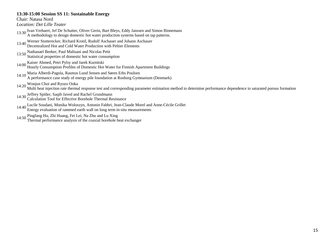#### **13:30-15:00 Session SS 11: Sustainable Energy**

Chair: Natasa Nord

*Location: Det Lille Teater*

- 13:30 Ivan Verhaert, Jef De Schutter, Oliver Gerin, Bart Bleys, Eddy Janssen and Simon Binnemans A methodology to design domestic hot water production systems based on tap patterns.
- 13:40 Werner Stutterecker, Richard Krotil, Rudolf Aschauer and Johann Aschauer Decentralized Hot and Cold Water Production with Peltier Elements
- 
- 13:50 Nathanael Beeker, Paul Malisani and Nicolas Petit
- Statistical properties of domestic hot water consumption
- 14:00 Kaiser Ahmed, Petri Pylsy and Jarek Kurnitski
	- Hourly Consumption Profiles of Domestic Hot Water for Finnish Apartment Buildings
- 14:10 Maria Alberdi-Pagola, Rasmus Lund Jensen and Søren Erbs Poulsen A performance case study of energy pile foundation at Rosborg Gymnasium (Denmark)
- 
- 14:20 Wonjun Choi and Ryozo Ooka Multi heat injection rate thermal response test and corresponding parameter estimation method to determine performance dependence in saturated porous formation
- 
- 14:30 Jeffrey Spitler, Saqib Javed and Rachel Grundmann Calculation Tool for Effective Borehole Thermal Resistance
- 14:40 Lucile Soudani, Monika Woloszyn, Antonin Fabbri, Jean-Claude Morel and Anne-Cécile Grillet
- Energy evaluation of rammed earth wall on long term in-situ measurements
- 
- 14:50 Pingfang Hu, Zhi Huang, Fei Lei, Na Zhu and Lu Xing Thermal performance analysis of the coaxial borehole heat exchanger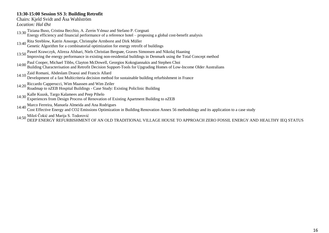# **13:30-15:00 Session SS 3: Building Retrofit**

Chairs: Kjeld Svidt and Åsa Wahlström

*Location: Hal Øst*

- 13:30 Tiziana Buso, Cristina Becchio, A. Zerrin Yılmaz and Stefano P. Corgnati Energy efficiency and financial performance of a reference hotel – proposing a global cost-benefit analysis
- 13:40 Rita Streblow, Katrin Ansorge, Christophe Armborst and Dirk Müller
- Genetic Algorithm for a combinatorial optimization for energy retrofit of buildings
- 13:50 Pawel Krawczyk, Alireza Afshari, Niels Christian Bergsøe, Graves Simonsen and Nikolaj Haaning Improving the energy performance in existing non-residential buildings in Denmark using the Total Concept method
- 14:00 Paul Cooper, Michael Tibbs, Clayton McDowell, Georgios Kokogiannakis and Stephen Choi Building Characterisation and Retrofit Decision Support-Tools for Upgrading Homes of Low-Income Older Australians
- 14:10 Zaid Romani, Abdeslam Draoui and Francis Allard
- Development of a fast Multicriteria decision method for sustainable building refurbishment in France
- 
- 14:20 Riccardo Capperucci, Wim Maassen and Wim Zeiler Roadmap to nZEB Hospital Buildings Case Study: Existing Policlinic Building
- 
- 14:30 Kalle Kuusk, Targo Kalamees and Peep Pihelo Experiences from Design Process of Renovation of Existing Apartment Building to nZEB
- 
- 14:40 Marco Ferreira, Manuela Almeida and Ana Rodrigues Cost Effective Energy and CO2 Emissions Optimization in Building Renovation Annex 56 methodology and its application to a case study
- 

14:50 Miloš Čokić and Marija S. Todorović DEEP ENERGY REFURBISHMENT OF AN OLD TRADITIONAL VILLAGE HOUSE TO APPROACH ZERO FOSSIL ENERGY AND HEALTHY IEQ STATUS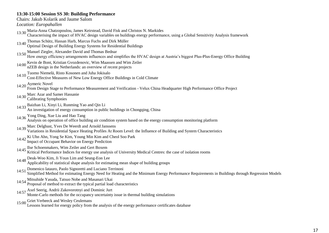# **13:30-15:00 Session SS 30: Building Performance**

Chairs: Jakub Kolarik and Jaume Salom

*Location: Europahallen*

- 13:30 Maria-Anna Chatzopoulou, James Keirstead, David Fisk and Christos N. Markides
- Characterising the impact of HVAC design variables on buildings energy performance, using a Global Sensitivity Analysis framework
- 13:40 Thomas Schütz, Hassan Harb, Marcus Fuchs and Dirk Müller
- Optimal Design of Building Energy Systems for Residential Buildings
- 
- 13:50 Manuel Ziegler, Alexander David and Thomas Bednar<br>How energy efficiency arrangements influences and simplifies the HVAC design at Austria's biggest Plus-Plus-Energy Office Building
- 14:00 Kevin de Bont, Kristian Gvozdenovic, Wim Maassen and Wim Zeiler nZEB design in the Netherlands: an overview of recent projects
- 14:10 Tuomo Niemelä, Risto Kosonen and Juha Jokisalo
- Cost-Effective Measures of New Low Energy Office Buildings in Cold Climate
- 
- 14:20 Aymeric Novel From Design Stage to Performance Measurement and Verification Velux China Headquarter High Performance Office Project
- 14:30 Marc Azar and Samer Hassanie Calibrating Symphonies
- 
- 14:33 Baizhan Li, Xinyi Li, Runming Yao and Qin Li An investigation of energy consumption in public buildings in Chongqing, China
- 14:36 Yong Ding, Xue Liu and Hao Tang

Analysis on operation of office building air condition system based on the energy consumption monitoring platform

14:39 Marc Delghust, Yves De Weerdt and Arnold Janssens

Variations in Residential Space Heating Profiles At Room Level: the Influence of Building and System Characteristics

- 14:42 Ki Uhn Ahn, Yong Se Kim, Young Min Kim and Cheol Soo Park Impact of Occupant Behavior on Energy Prediction
- 
- 14:45 Ilse Schoenmakers, Wim Zeiler and Gert Boxem Kritical Performance Indices for energy use analysis of University Medical Centres: the case of isolation rooms
- 
- 14:48 Deuk-Woo Kim, Ji Youn Lim and Seung-Eon Lee Applicability of statistical shape analysis for estimating mean shape of building groups
- 14:51 Domenico Iatauro, Paolo Signoretti and Luciano Terrinoni
- Simplified Method for estimating Energy Need for Heating and the Minimum Energy Performance Requirements in Buildings through Regression Models
- 14:54 Mitsuhide Yasuda, Tatsuo Nobe and Masanari Ukai Proposal of method to extract the typical partial load characteristics
- 
- 14:57 Axel Seerig, Andrii Zakovorotnyi and Dominic Jurt Monte-Carlo methods for the occupancy uncertainty issue in thermal building simulations
- 
- 15:00 Griet Verbeeck and Wesley Ceulemans Lessons learned for energy policy from the analysis of the energy performance certificates database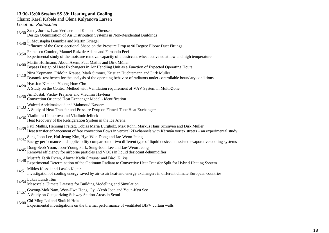# **13:30-15:00 Session SS 39: Heating and Cooling**

# Chairs: Karel Kabele and Olena Kalyanova Larsen

*Location: Radiosalen*

- 13:30 Sandy Jorens, Ivan Verhaert and Kenneth Sörensen Design Optimization of Air Distribution Systems in Non-Residential Buildings
- 13:40 E. Moustapha Doumbia and Martin Kriegel
- Influence of the Cross-sectional Shape on the Pressure Drop at 90 Degree Elbow Duct Fittings
- 13:50 Francisco Comino, Manuel Ruiz de Adana and Fernando Peci
- Experimental study of the moisture removal capacity of a desiccant wheel activated at low and high temperature
- 14:00 Martin Hoffmann, Abdul Azem, Paul Mathis and Dirk Müller
	- Bypass Design of Heat Exchangers in Air Handling Unit as a Function of Expected Operating Hours
- 14:10 Nina Kopmann, Fridolin Krause, Mark Simmer, Kristian Huchtemann and Dirk Müller
- Dynamic test bench for the analysis of the operating behavior of radiators under controllable boundary conditions
- 14:20 Hyo-Jun Kim and Young-Hum Cho
- A Study on the Control Method with Ventilation requirement of VAV System in Multi-Zone
- 14:30 Jiri Dostal, Vaclav Prajzner and Vladimir Havlena
- Convection Oriented Heat Exchanger Model Identification
- 14:33 Waleed Abdelmaksoud and Mahmoud Kassem
- A Study of Heat Transfer and Pressure Drop on Finned-Tube Heat Exchangers
- 
- 14:36 Vladimira Linhartova and Vladimir Jelinek Heat Recovery of the Refrigeration System in the Ice Arena
- 14:39 Paul Mathis, Henning Freitag, Tobias Maria Burgholz, Max Rohn, Markus Hans Schraven and Dirk Müller Heat transfer enhancement of free convection flows in vertical 2D-channels with Kármán vortex streets – an experimental study
- 
- 14:42 Sung-Joon Lee, Hui-Jeong Kim, Hye-Won Dong and Jae-Weon Jeong Energy performance and applicability comparison of two different type of liquid desiccant assisted evaporative cooling systems
- 14:45 Dong-Seob Yoon, Joon-Young Park, Sung-Joon Lee and Jae-Weon Jeong Removal efficiency for airborne particles and VOCs in liquid desiccant dehumidifier
- 
- 
- 14:48 Mustafa Fatih Evren, Abuzer Kadir Özsunar and Birol Kılkış Experimental Determination of the Optimum Radiant to Convective Heat Transfer Split for Hybrid Heating System

# 14:51 Miklos Kassai and Laszlo Kajtar

Investigation of cooling energy saved by air-to air heat-and energy exchangers in different climate European countries

# 14:54 Lukas Lundström

- Mesoscale Climate Datasets for Building Modelling and Simulation
- 14:57 Gyeong-Mok Nam, Won-Hwa Hong, Gyu-Yeob Jeon and Youn-Kyu Seo A Study on Categorizing Subway Station Areas in Seoul
- 15:00 Chi-Ming Lai and Shuichi Hokoi
- Experimental investigations on the thermal performance of ventilated BIPV curtain walls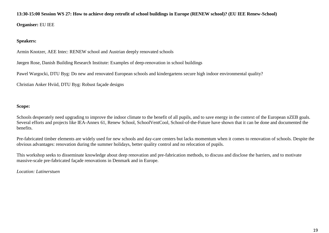#### **13:30-15:00 Session WS 27: How to achieve deep retrofit of school buildings in Europe (RENEW school)? (EU IEE Renew-School)**

**Organiser:** EU IEE

#### **Speakers:**

Armin Knotzer, AEE Intec: RENEW school and Austrian deeply renovated schools

Jørgen Rose, Danish Building Research Institute: Examples of deep-renovation in school buildings

Pawel Wargocki, DTU Byg: Do new and renovated European schools and kindergartens secure high indoor environmental quality?

Christian Anker Hviid, DTU Byg: Robust façade designs

# **Scope:**

Schools desperately need upgrading to improve the indoor climate to the benefit of all pupils, and to save energy in the context of the European nZEB goals. Several efforts and projects like IEA-Annex 61, Renew School, SchoolVentCool, School-of-the-Future have shown that it can be done and documented the benefits.

Pre-fabricated timber elements are widely used for new schools and day-care centers but lacks momentum when it comes to renovation of schools. Despite the obvious advantages: renovation during the summer holidays, better quality control and no relocation of pupils.

This workshop seeks to disseminate knowledge about deep renovation and pre-fabrication methods, to discuss and disclose the barriers, and to motivate massive-scale pre-fabricated façade renovations in Denmark and in Europe.

#### *Location: Latinerstuen*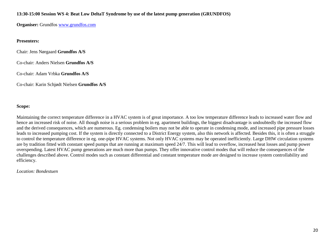# **13:30-15:00 Session WS 4: Beat Low DeltaT Syndrome by use of the latest pump generation (GRUNDFOS)**

**Organiser:** Grundfos www.grundfos.com

# **Presenters:**

Chair: Jens Nørgaard **Grundfos A/S** 

Co-chair: Anders Nielsen **Grundfos A/S**

Co-chair: Adam Vrbka **Grundfos A/S**

Co-chair: Karin Schjødt Nielsen **Grundfos A/S**

# **Scope:**

Maintaining the correct temperature difference in a HVAC system is of great importance. A too low temperature difference leads to increased water flow and hence an increased risk of noise. All though noise is a serious problem in eg. apartment buildings, the biggest disadvantage is undoubtedly the increased flow and the derived consequences, which are numerous. Eg. condensing boilers may not be able to operate in condensing mode, and increased pipe pressure losses leads to increased pumping cost. If the system is directly connected to a District Energy system, also this network is affected. Besides this, it is often a struggle to control the temperature difference in eg. one-pipe HVAC systems. Not only HVAC systems may be operated inefficiently. Large DHW circulation systems are by tradition fitted with constant speed pumps that are running at maximum speed 24/7. This will lead to overflow, increased heat losses and pump power overspending. Latest HVAC pump generations are much more than pumps. They offer innovative control modes that will reduce the consequences of the challenges described above. Control modes such as constant differential and constant temperature mode are designed to increase system controllability and efficiency.

*Location: Bondestuen*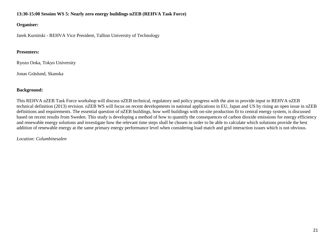# **13:30-15:00 Session WS 5: Nearly zero energy buildings nZEB (REHVA Task Force)**

# **Organiser:**

Jarek Kurnitski - REHVA Vice President, Tallinn University of Technology

# **Presenters:**

Ryozo Ooka, Tokyo University

Jonas Gräslund, Skanska

# **Background:**

This REHVA nZEB Task Force workshop will discuss nZEB technical, regulatory and policy progress with the aim to provide input to REHVA nZEB technical definition (2013) revision. nZEB WS will focus on recent developments in national applications in EU, Japan and US by rising an open issue in nZEB definitions and requirements. The essential question of nZEB buildings, how well buildings with on-site production fit to central energy system, is discussed based on recent results from Sweden. This study is developing a method of how to quantify the consequences of carbon dioxide emissions for energy efficiency and renewable energy solutions and investigate how the relevant time steps shall be chosen in order to be able to calculate which solutions provide the best addition of renewable energy at the same primary energy performance level when considering load match and grid interaction issues which is not obvious.

# *Location: Columbinesalen*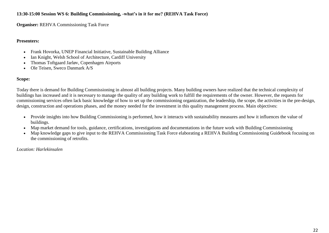# **13:30-15:00 Session WS 6: Building Commissioning, -what's in it for me? (REHVA Task Force)**

**Organiser: REHVA Commissioning Task Force** 

# **Presenters:**

- Frank Hovorka, UNEP Financial Initiative, Sustainable Building Alliance
- Ian Knight, Welsh School of Architecture, Cardiff University
- Thomas Toftgaard Jarløv, Copenhagen Airports
- Ole Teisen, Sweco Danmark A/S

# **Scope:**

Today there is demand for Building Commissioning in almost all building projects. Many building owners have realized that the technical complexity of buildings has increased and it is necessary to manage the quality of any building work to fulfill the requirements of the owner. However, the requests for commissioning services often lack basic knowledge of how to set up the commissioning organization, the leadership, the scope, the activities in the pre-design, design, construction and operations phases, and the money needed for the investment in this quality management process. Main objectives:

- Provide insights into how Building Commissioning is performed, how it interacts with sustainability measures and how it influences the value of buildings.
- Map market demand for tools, guidance, certifications, investigations and documentations in the future work with Building Commissioning
- Map knowledge gaps to give input to the REHVA Commissioning Task Force elaborating a REHVA Building Commissioning Guidebook focusing on the commissioning of retrofits.

*Location: Harlekinsalen*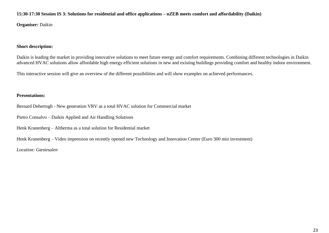#### **15:30-17:30 Session IS 3: Solutions for residential and office applications – nZEB meets comfort and affordability (Daikin)**

**Organiser:** Daikin

# **Short description:**

Daikin is leading the market in providing innovative solutions to meet future energy and comfort requirements. Combining different technologies in Daikin advanced HVAC solutions allow affordable high energy efficient solutions in new and existing buildings providing comfort and healthy indoor environment.

This interactive session will give an overview of the different possibilities and will show examples on achieved performances.

# **Presentations:**

Bernard Dehertogh - New generation VRV as a total HVAC solution for Commercial market

Pietro Consalvo – Daikin Applied and Air Handling Solutions

Henk Kranenberg – Altherma as a total solution for Residential market

Henk Kranenberg – Video impression on recently opened new Technology and Innovation Center (Euro 300 mio investment)

*Location: Gæstesalen*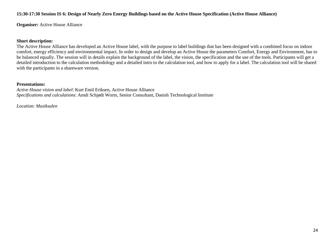#### **15:30-17:30 Session IS 6: Design of Nearly Zero Energy Buildings based on the Active House Specification (Active House Alliance)**

**Organiser:** Active House Alliance

#### **Short description:**

The Active House Alliance has developed an Active House label, with the purpose to label buildings that has been designed with a combined focus on indoor comfort, energy efficiency and environmental impact. In order to design and develop an Active House the parameters Comfort, Energy and Environment, has to be balanced equally. The session will in details explain the background of the label, the vision, the specification and the use of the tools. Participants will get a detailed introduction to the calculation methodology and a detailed intro to the calculation tool, and how to apply for a label. The calculation tool will be shared with the participants in a shareware version.

#### **Presentations:**

*Active House vision and label*: Kurt Emil Eriksen, Active House Alliance *Specifications and calculations*: Amdi Schjødt Worm, Senior Consultant, Danish Technological Institute

*Location: Musiksalen*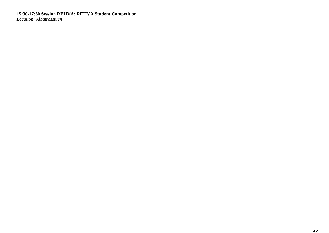**15:30-17:30 Session REHVA: REHVA Student Competition** *Location: Albatrosstuen*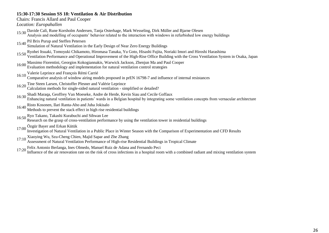# **15:30-17:30 Session SS 18: Ventilation & Air Distribution**

Chairs: Francis Allard and Paul Cooper

*Location: Europahallen*

15:30 Davide Calì, Rune Korsholm Andersen, Tanja Osterhage, Mark Wesseling, Dirk Müller and Bjarne Olesen

Analysis and modelling of occupants' behavior related to the interaction with windows in refurbished low energy buildings

15:40 Pil Brix Purup and Steffen Petersen

Simulation of Natural Ventilation in the Early Design of Near Zero Energy Buildings

- 15:50 Ryohei Itsuaki, Tomoyuki Chikamoto, Hiromasa Tanaka, Yu Goto, Hisashi Fujita, Noriaki Imori and Hiroshi Harashima
- Ventilation Performance and Operational Improvement of the High-Rise Office Building with the Cross Ventilation System in Osaka, Japan
- 16:00 Massimo Fiorentini, Georgios Kokogiannakis, Warwick Jackson, Zhenjun Ma and Paul Cooper Evaluation methodology and implementation for natural ventilation control strategies
- 

16:10 Valerie Leprince and François Rémi Carrié Comparative analysis of window airing models proposed in prEN 16798-7 and influence of internal resistances

- 
- 16:20 Tine Steen Larsen, Christoffer Plesner and Valérie Leprince Calculation methods for single-sided natural ventilation simplified or detailed?
- 16:30 Shadi Maraqa, Geoffrey Van Moeseke, Andre de Herde, Kevin Siau and Cecile Goffaux

Enhancing natural ventilation in patients" wards in a Belgian hospital by integrating some ventilation concepts from vernacular architecture

- 16:40 Risto Kosonen, Ilari Ranta-Aho and Juha Jokisalo
- Methods to prevent the stack effect in high rise residential buildings
- 16:50 Ryo Takano, Takashi Kurabuchi and Sihwan Lee

Research on the grasp of cross-ventilation performance by using the ventilation tower in residential buildings

17:00 Özgür Bayer and Erkan Kütük

Investigation of Natural Ventilation in a Public Place in Winter Season with the Comparison of Experimentation and CFD Results

- 17:10 Xiaoying Wu, Szu-Cheng Chien, Majid Sapar and Zhe Zhang
- Assessment of Natural Ventilation Performance of High-rise Residential Buildings in Tropical Climate
- 

17:20 Felix Antonio Berlanga, Ines Olmedo, Manuel Ruiz de Adana and Fernando Peci Influence of the air renovation rate on the risk of cross infections in a hospital room with a combined radiant and mixing ventilation system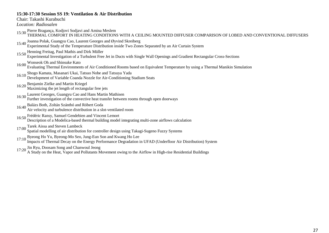#### **15:30-17:30 Session SS 19: Ventilation & Air Distribution**

Chair: Takashi Kurabuchi

*Location: Radiosalen*

- 
- 15:30 Pierre Bragança, Kodjovi Sodjavi and Amina Meslem<br>15:30 THERMAL COMFORT IN HEATING CONDITIONS WITH A CEILING MOUNTED DIFFUSER COMPARISON OF LOBED AND CONVENTIONAL DIFFUSERS
- 15:40 Joanna Polak, Guangyu Cao, Laurent Georges and Øyvind Skreiberg
- Experimental Study of the Temperature Distribution inside Two Zones Separated by an Air Curtain System
- 15:50 Henning Freitag, Paul Mathis and Dirk Müller
- Experimental Investigation of a Turbulent Free Jet in Ducts with Single Wall Openings and Gradient Rectangular Cross-Sections
- 16:00 Wonseok Oh and Shinsuke Kato
	- Evaluating Thermal Environments of Air Conditioned Rooms based on Equivalent Temperature by using a Thermal Manikin Simulation
- 16:10 Shogo Kamata, Masanari Ukai, Tatsuo Nobe and Tatsuya Yada Development of Variable Coanda Nozzle for Air-Conditioning Stadium Seats
- 
- 16:20 Benjamin Zielke and Martin Kriegel Maximizing the jet length of rectangular free jets
- 16:30 Laurent Georges, Guangyu Cao and Hans Martin Mathisen
- Further investigation of the convective heat transfer between rooms through open doorways
- 16:40 Balázs Both, Zoltán Szánthó and Róbert Goda
- Air velocity and turbulence distribution in a slot-ventilated room
- 16:50 Frédéric Ransy, Samuel Gendebien and Vincent Lemort
	- Description of a Modelica-based thermal building model integrating multi-zone airflows calculation
- 17:00 Tarek Aissa and Steven Lambeck
	- Spatial modelling of air distribution for controller design using Takagi-Sugeno Fuzzy Systems
- 17:10 Byeong Ho Yu, Byeong-Mo Seo, Jung-Eun Son and Kwang Ho Lee
- Impacts of Thermal Decay on the Energy Performance Degradation in UFAD (Underfloor Air Distribution) System
- 17:20 Jin Ryu, Doosam Song and Chanwoul Jeong
- A Study on the Heat, Vapor and Pollutants Movement owing to the Airflow in High-rise Residential Buildings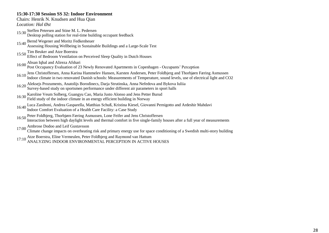# **15:30-17:30 Session SS 32: Indoor Environment**

| 15:30-17:30 Session SS 32: Indoor Environment                                                                                                                                                                                                         |
|-------------------------------------------------------------------------------------------------------------------------------------------------------------------------------------------------------------------------------------------------------|
| Chairs: Henrik N. Knudsen and Hua Qian                                                                                                                                                                                                                |
| <i>Location: Hal <math>\emptyset</math>st</i>                                                                                                                                                                                                         |
| 15:30 Steffen Petersen and Stine M. L. Pedersen<br>Desktop polling station for real-time building occupant feedback                                                                                                                                   |
| 15:40 Bernd Wegener and Moritz Fedkenheuer<br>Assessing Housing Wellbeing in Sustainable Buildings and a Large-Scale Test                                                                                                                             |
| 15:50 Tim Beuker and Atze Boerstra<br>Effect of Bedroom Ventilation on Perceived Sleep Quality in Dutch Houses                                                                                                                                        |
| 16:00 Ahsan Iqbal and Alireza Afshari<br>Post Occupancy Evaluation of 23 Newly Renovated Apartments in Copenhagen - Occupants' Perception                                                                                                             |
| 16:10 Jens Christoffersen, Anna Karina Hammelev Hansen, Karsten Andersen, Peter Foldbjerg and Thorbjørn Færing Asmussen<br>Indoor climate in two renovated Danish schools: Measurements of Temperature, sound levels, use of electrical light and CO2 |
| 16:20 Aleksejs Prozuments, Anatolijs Borodinecs, Darja Strutinska, Anna Nefedova and Bykova Iuliia<br>Survey-based study on sportsmen performance under different air parameters in sport halls                                                       |
| 16:30 Karoline Veum Solberg, Guangyu Cao, Maria Justo Alonso and Jens Petter Burud<br>Field study of the indoor climate in an energy efficient building in Norway                                                                                     |
| 16:40 Luca Zaniboni, Andrea Gasparella, Matthias Schuß, Kristina Kiesel, Giovanni Pernigotto and Ardeshir Mahdavi<br>Indoor Comfort Evaluation of a Health Care Facility: a Case Study                                                                |
| 16:50 Peter Foldbjerg, Thorbjørn Færing Asmussen, Lone Feifer and Jens Christoffersen<br>Interaction between high daylight levels and thermal comfort in five single-family houses after a full year of measurements                                  |
| 17:00 Ambrose Dodoo and Leif Gustavsson<br>Climate change impacts on overheating risk and primary energy use for space conditioning of a Swedish multi-story building                                                                                 |
| 17:10 Atze Boerstra, Eline Vermeulen, Peter Foldbjerg and Raymond van Hattum<br>ANALYZING INDOOR ENVIRONMENTAL PERCEPTION IN ACTIVE HOUSES                                                                                                            |
|                                                                                                                                                                                                                                                       |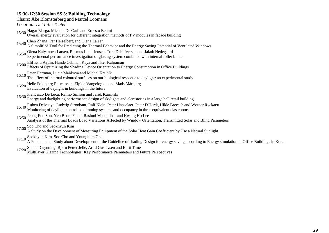# **15:30-17:30 Session SS 5: Building Technology**

Chairs: Åke Blomsterberg and Marcel Loomans

*Location: Det Lille Teater*

- 15:30 Hagar Elarga, Michele De Carli and Ernesto Benini
- Overall energy evaluation for different integration methods of PV modules in facade building
- 15:40 Chen Zhang, Per Heiselberg and Olena Larsen
- A Simplified Tool for Predicting the Thermal Behavior and the Energy Saving Potential of Ventilated Windows
- 15:50 Olena Kalyanova Larsen, Rasmus Lund Jensen, Tore Dahl Iversen and Jakob Hedegaard
- Experimental performance investigation of glazing system combined with internal roller blinds
- 16:00 Elif Esra Aydin, Hande Odaman Kaya and İlker Kahraman
	- Effects of Optimizing the Shading Device Orientation to Energy Consumption in Office Buildings
- 16:10 Peter Hartman, Lucia Maňková and Michal Krajčík
- The effect of internal coloured surfaces on our biological response to daylight: an experimental study
- 16:20 Helle Foldbjerg Rasmussen, Elpida Vangeloglou and Mads Mårbjerg Evaluation of daylight in buildings in the future
- 
- 16:30 Francesco De Luca, Raimo Simson and Jarek Kurnitski
- Energy and daylighting performance design of skylights and clerestories in a large hall retail building
- 16:40 Ruben Delvaeye, Ludwig Stroobant, Ralf Klein, Peter Hanselaer, Peter D'Herdt, Hilde Breesch and Wouter Ryckaert
- Monitoring of daylight controlled dimming systems and occupancy in three equivalent classrooms
- 16:50 Jeong Eun Son, Yeo Beom Yoon, Rashmi Manandhar and Kwang Ho Lee
	- Analysis of the Thermal Loads Load Variations Affected by Window Orientation, Transmitted Solar and Blind Parameters
- 17:00 Soo Cho and Seokhyun Kim
	- A Study on the Development of Measuring Equipment of the Solar Heat Gain Coefficient by Use a Natural Sunlight
- 17:10 Seokhyun Kim, Soo Cho and Younghum Cho
- A Fundamental Study about Development of the Guideline of shading Design for energy saving according to Energy simulation in Office Buildings in Korea
- 
- 17:20 Steinar Grynning, Bjørn Petter Jelle, Arild Gustavsen and Berit Time Multilayer Glazing Technologies: Key Performance Parameters and Future Perspectives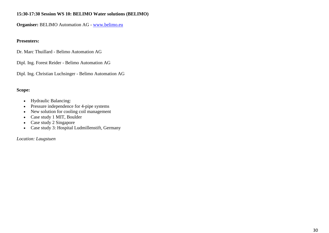# **15:30-17:30 Session WS 10: BELIMO Water solutions (BELIMO)**

**Organiser:** BELIMO Automation AG - www.belimo.eu

# **Presenters:**

Dr. Marc Thuillard - Belimo Automation AG

Dipl. Ing. Forest Reider - Belimo Automation AG

Dipl. Ing. Christian Luchsinger - Belimo Automation AG

# **Scope:**

- Hydraulic Balancing:
- Pressure independence for 4-pipe systems
- New solution for cooling coil management
- Case study 1 MIT, Boulder
- Case study 2 Singapore
- Case study 3: Hospital Ludmillenstift, Germany

*Location: Laugstuen*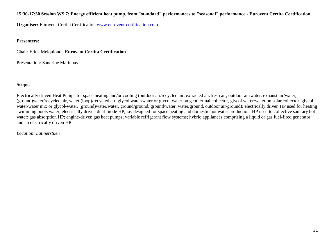# **15:30-17:30 Session WS 7: Energy efficient heat pump, from "standard" performances to "seasonal" performance - Eurovent Certita Certification**

**Organiser:** Eurovent Certita Certification www.eurovent-certification.com

# **Presenters:**

Chair: Erick Melquiond **Eurovent Certita Certification**

Presentation: Sandrine Marinhas

# **Scope:**

Electrically driven Heat Pumps for space heating and/or cooling (outdoor air/recycled air, extracted air/fresh air, outdoor air/water, exhaust air/water, (ground)water/recycled air, water (loop)/recycled air, glycol water/water or glycol water on geothermal collector, glycol water/water on solar collector, glycolwater/water mix or glycol-water, (ground)water/water, ground/ground, ground/water, water/ground, outdoor air/ground); electrically driven HP used for heating swimming pools water; electrically driven dual-mode HP, i.e. designed for space heating and domestic hot water production, HP used to collective sanitary hot water; gas absorption HP; engine-driven gas heat pumps; variable refrigerant flow systems; hybrid appliances comprising a liquid or gas fuel-fired generator and an electrically driven HP.

# *Location: Latinerstuen*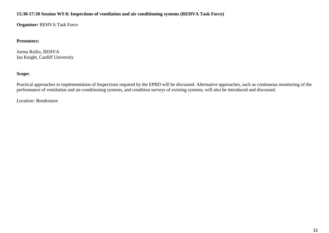# **15:30-17:30 Session WS 8: Inspections of ventilation and air conditioning systems (REHVA Task Force)**

**Organiser:** REHVA Task Force

# **Presenters:**

Jorma Railio, REHVA Ian Knight, Cardiff University

# **Scope:**

Practical approaches to implementation of Inspections required by the EPBD will be discussed. Alternative approaches, such as continuous monitoring of the performance of ventilation and air-conditioning systems, and condition surveys of existing systems, will also be introduced and discussed.

*Location: Bondestuen*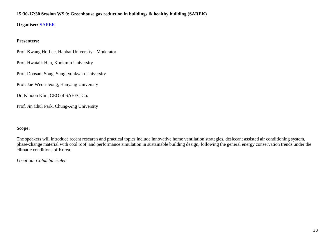# **15:30-17:30 Session WS 9: Greenhouse gas reduction in buildings & healthy building (SAREK)**

**Organiser:** SAREK

# **Presenters:**

Prof. Kwang Ho Lee, Hanbat University - Moderator

Prof. Hwataik Han, Kookmin University

Prof. Doosam Song, Sungkyunkwan University

Prof. Jae-Weon Jeong, Hanyang University

Dr. Kihoon Kim, CEO of SAEEC Co.

Prof. Jin Chul Park, Chung-Ang University

# **Scope:**

The speakers will introduce recent research and practical topics include innovative home ventilation strategies, desiccant assisted air conditioning system, phase-change material with cool roof, and performance simulation in sustainable building design, following the general energy conservation trends under the climatic conditions of Korea.

*Location: Columbinesalen*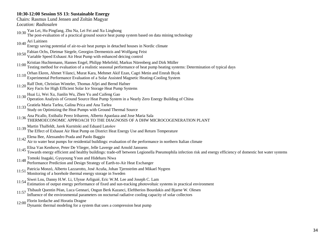# **10:30-12:00 Session SS 13: Sustainable Energy**

| Chairs: Rasmus Lund Jensen and Zoltán Magyar |
|----------------------------------------------|
|                                              |

*Location: Radiosalen*

- 10:30 Yan Lei, Hu Pingfang, Zhu Na, Lei Fei and Xu Linghong
- The post-evaluation of a practical ground source heat pump system based on data mining technology
- 10:40 Ari Laitinen
- Energy saving potential of air-to-air heat pumps in detached houses in Nordic climate
- 10:50 Fabian Ochs, Dietmar Siegele, Georgios Dermentzis and Wolfgang Feist Variable Speed Exhaust Air Heat Pump with enhanced deicing control
- 
- 11:00 Kristian Huchtemann, Hannes Engel, Philipp Mehrfeld, Markus Nürenberg and Dirk Müller
- Testing method for evaluation of a realistic seasonal performance of heat pump heating systems: Determination of typical days
- 11:10 Orhan Ekren, Ahmet Yilanci, Murat Kara, Mehmet Akif Ezan, Cagri Metin and Emrah Bıyık Experimental Performance Evaluation of a Solar Assisted Magnetic Heating-Cooling System
- 11:20 Ralf Dott, Christian Winteler, Thomas Afjei and Bernd Hafner Key Facts for High Efficient Solar Ice Storage Heat Pump Systems
- 11:30 Huai Li, Wei Xu, Jianlin Wu, Zhen Yu and Caifeng Gao
- Operation Analysis of Ground Source Heat Pump System in a Nearly Zero Energy Building of China
- 11:33 Gratiela Maria Tarlea, Galina Prica and Ana Tarlea
- Study on Optimizing the Heat Pumps with Ground Thermal Source
- 11:36 Ana Picallo, Estibaliz Perez Iribarren, Alberto Apaolaza and Jose Maria Sala THERMOECONOMIC APPROACH TO THE DIAGNOSIS OF A DHW MICROCOGENERATION PLANT
- 
- 11:39 Martin Thalfeldt, Jarek Kurnitski and Eduard Latošov The Effect of Exhaust Air Heat Pump on District Heat Energy Use and Return Temperature
- 
- 11:42 Elena Bee, Alessandro Prada and Paolo Baggio Air to water heat pumps for residential buildings: evaluation of the performance in northern Italian climate
- 
- 11:45 Elisa Van Kenhove, Peter De Vlieger, Jelle Laverge and Arnold Janssens<br>Towards energy efficient and healthy buildings: trade-off between Legionella Pneumophila infection risk and energy efficiency of domestic hot wat
- 
- 11:48 Tomoki Inagaki, Gyuyoung Yoon and Hideharu Niwa Performance Prediction and Design Strategy of Earth-to-Air Heat Exchanger
- 11:51 Patricia Monzó, Alberto Lazzarotto, José Acuña, Johan Tjernström and Mikael Nygren
- Monitoring of a borehole thermal energy storage in Sweden
- 
- 11:54 Siwei Lou, Danny H.W. Li, Ulysse Arliguié, Eric W.M. Lee and Joseph C. Lam Estimation of output energy performance of fixed and sun-tracking photovoltaic systems in practical environment
- 11:57 Thibault Quentin Péan, Luca Gennari, Ongun Berk Kazanci, Eleftherios Bourdakis and Bjarne W. Olesen Influence of the environmental parameters on nocturnal radiative cooling capacity of solar collectors
- 12:00 Florin Iordache and Horatiu Dragne
- Dynamic thermal modeling for a system that uses a compression heat pump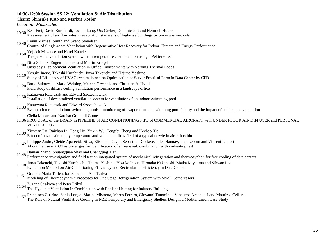# **10:30-12:00 Session SS 22: Ventilation & Air Distribution**

Chairs: Shinsuke Kato and Markus Rösler

*Location: Musiksalen*

- 10:30 Beat Frei, David Burkhardt, Jochen Lang, Urs Greber, Dominic Jurt and Heinrich Huber
- Measurement of air flow rates in evacuation stairwells of high-rise buildings by tracer gas methods
- 10:40 Kevin Michael Smith and Svend Svendsen
- Control of Single-room Ventilation with Regenerative Heat Recovery for Indoor Climate and Energy Performance
- 
- 10:50 Vojtěch Mazanec and Karel Kabele The personal ventilation system with air temperature customization using a Peltier effect
- 11:00 Nina Schultz, Eugen Lichtner and Martin Kriegel
	- Unsteady Displacement Ventilation in Office Environments with Varying Thermal Loads
- 11:10 Yosuke Inoue, Takashi Kurabuchi, Jinya Takeuchi and Hajime Yoshino Study of Efficiency of HVAC systems based on Optimization of Server Practical Form in Data Center by CFD
- 11:20 Daria Zukowska, Marie Wolsing, Malene Grysbæk and Christian A. Hviid Field study of diffuse ceiling ventilation performance in a landscape office
- 11:30 Katarzyna Ratajczak and Edward Szczechowiak
- Installation of decentralized ventilation system for ventilation of an indoor swimming pool
- 11:33 Katarzyna Ratajczak and Edward Szczechowiak
- Evaporation rate in indoor swimming pools monitoring of evaporation at a swimming pool facility and the impact of bathers on evaporation

Clelia Moraes and Narciso Grimaldi Gomes

- 11:36 PROPOSAL of the DRAIN in PIPELINE of AIR CONDITIONING PIPE of COMMERCIAL AIRCRAFT with UNDER FLOOR AIR DIFFUSER and PERSONAL VENTILATION
- 11:39 Xiuyuan Du, Baizhan Li, Hong Liu, Yuxin Wu, Tengfei Cheng and Kechao Xia Effect of nozzle air supply temperature and volume on flow field of a typical nozzle in aircraft cabin
- 11:42 Philippe Andre, Cleide Aparecida Silva, Elisabeth Davin, Sébastien Delclaye, Jules Hannay, Jean Lebrun and Vincent Lemort<br>About the use of CO2 as tracer gas for identification of air renewal; combination with co-heat
- 
- 11:45 Hainan Zhang, Shuangquan Shao and Changqing Tian Performance investigation and field test on integrated system of mechanical refrigeration and thermosyphon for free cooling of data centers
- 11:48 Jinya Takeuchi, Takashi Kurabuchi, Hajime Yoshino, Yosuke Inoue, Hirotaka Kakehashi, Maika Miyajima and Sihwan Lee
- Evaluation Method on Air-Conditioning Efficiency and Recirculation Efficiency in Data Center
- 11:51 Gratiela Maria Tarlea, Ion Zabet and Ana Tarlea
- Modeling of Thermodynamic Processes for One Stage Refrigeration System with Scroll Compressors
- 11:54 Zuzana Strakova and Peter Pribyl
	- The Hygienic Ventilation in Combination with Radiant Heating for Industry Buildings
- 11:57 Francesco Guarino, Sonia Longo, Marina Mistretta, Marco Ferraro, Giovanni Tumminia, Vincenzo Antonucci and Maurizio Cellura The Role of Natural Ventilative Cooling in NZE Temporary and Emergency Shelters Design: a Mediterranean Case Study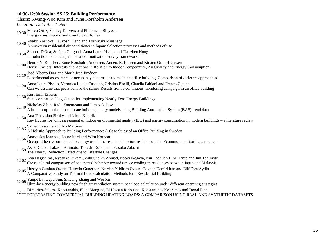#### **10:30-12:00 Session SS 25: Building Performance**

Chairs: Kwang-Woo Kim and Rune Korsholm Andersen *Location: Det Lille Teater*

- 10:30 Marco Ortiz, Stanley Kurvers and Philomena Bluyssen Energy consumption and Comfort in Homes
- 10:40 Ayako Yasuoka, Tsuyoshi Ueno and Toshiyuki Miyanaga
- A survey on residential air conditioner in Japan: Selection processes and methods of use
- 10:50 Simona D'Oca, Stefano Corgnati, Anna Laura Pisello and Tianzhen Hong
- Introduction to an occupant behavior motivation survey framework
- 11:00 Henrik N. Knudsen, Rune Korsholm Andersen, Anders R. Hansen and Kirsten Gram-Hanssen House Owners" Interests and Actions in Relation to Indoor Temperature, Air Quality and Energy Consumption
- 11:10 José Alberto Diaz and María José Jiménez
- Experimental assessment of occupancy patterns of rooms in an office building. Comparison of different approaches
- 11:20 Anna Laura Pisello, Veronica Luicia Castaldo, Cristina Piselli, Claudia Fabiani and Franco Cotana
- Can we assume that peers behave the same? Results from a continuous monitoring campaign in an office building
- 
- 11:30 Kurt Emil Eriksen Status on national legislation for implementing Nearly Zero Energy Buildings
- 11:40 Nicholas Zibin, Radu Zmeureanu and James A. Love
- A bottom-up method to calibrate building energy models using Building Automation System (BAS) trend data
- 11:50 Ana Tisov, Jan Siroky and Jakub Kolarik
	- Key figures for joint assessment of indoor environmental quality (IEQ) and energy consumption in modern buildings a literature review
- 11:53 Samer Hassanie and Ivo Martinac
	- A Holistic Approach to Building Performance: A Case Study of an Office Building in Sweden
- 11:56 Anastasios Ioannou, Laure Itard and Wim Kornaat
- Occupant behaviour related to energy use in the residential sector: results from the Ecommon monitoring campaign.
- 11:59 Asaki Chiba, Takashi Akimoto, Takeshi Kondo and Yasuko Adachi The Energy Reduction Effect due to Lifestyle Changes
- 
- 12:02 Aya Hagishima, Ryosuke Fukami, Zaki Sheikh Ahmad, Naoki Ikegaya, Nur Fadhilah H M Hanip and Jun Tanimoto Cross cultural comparison of occupants" behavior towards space cooling in residences between Japan and Malaysia
- 
- 12:05 Huseyin Gunhan Ozcan, Huseyin Gunerhan, Nurdan Yildirim Ozcan, Gokhan Demirkiran and Elif Esra Aydin
- A Comparative Study on Thermal Load Calculation Methods for a Residential Building
- 12:08 Yanjie Lv, Deyu Sun, Shicong Zhang and Wei Xu

Ultra-low-energy building new fresh air ventilation system heat load calculation under different operating strategies

12:11 Dimitrios-Stavros Kapetanakis, Eleni Mangina, El Hassan Ridouane, Konstantinos Kouramas and Donal Finn FORECASTING COMMERCIAL BUILDING HEATING LOADS: A COMPARISON USING REAL AND SYNTHETIC DATASETS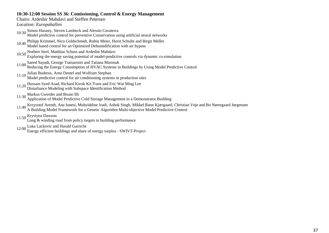### **10:30-12:00 Session SS 36: Comissioning, Control & Energy Management**

#### Chairs: Ardeshir Mahdavi and Steffen Petersen

*Location: Europahallen*

- 10:30 Simon Harasty, Steven Lambeck and Alessio Cavaterra Model predictive control for preventive Conservation using artificial neural networks
- 10:40 Philipp Krimmel, Nico Goldschmidt, Robin Meier, Horst Schulte and Birgit Müller Model based control for an Optimized Dehumidification with air bypass
- 10:50 Norbert Sterl, Matthias Schuss and Ardeshir Mahdavi
- Exploring the energy saving potential of model-predictive controls via dynamic co-simulation
- 11:00 Saeed Sayadi, George Tsatsaronis and Tatiana Morosuk Reducing the Energy Consumption of HVAC Systems in Buildings by Using Model Predictive Control
- 11:10 Julian Buderus, Arno Dentel and Wolfram Stephan Model predictive control for air conditioning systems in production sites
- 11:20 Hussain Syed Asad, Richard Kwok Kit Yuen and Eric Wai Ming Lee Disturbance Modeling with Subspace Identification Method
- 
- 11:30 Markus Gwerder and Bruno Illi
- Application of Model Predictive Cold Storage Management in a Demonstrator Building
- 11:40 Krzysztof Arendt, Ana Ionesi, Muhyiddine Jradi, Ashok Singh, Mikkel Baun Kjærgaard, Christian Veje and Bo Nørregaard Jørgensen
- A Building Model Framework for a Genetic Algorithm Multi-objective Model Predictive Control
- 11:50 Krystyna Dawson
	- Long & winding road from policy targets to building performance
- 12:00 Luka Lackovic and Harald Garrecht
	- Energy efficient buildings and share of energy surplus SWIVT-Project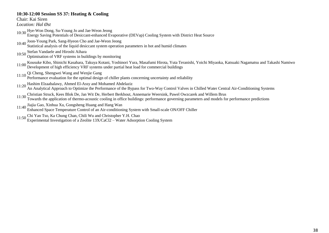#### **10:30-12:00 Session SS 37: Heating & Cooling**

Chair: Kai Siren

*Location: Hal Øst*

- 10:30 Hye-Won Dong, Su-Young Jo and Jae-Weon Jeong
- Energy Saving Potentials of Desiccant-enhanced Evaporative (DEVap) Cooling System with District Heat Source
- 10:40 Joon-Young Park, Sang-Hyeon Cho and Jae-Weon Jeong
- Statistical analysis of the liquid desiccant system operation parameters in hot and humid climates
- 10:50 Stefan Vandaele and Hiroshi Aihara
- Optimisation of VRF systems in buildings by monitoring
- 11:00 Kousuke Kibo, Shinichi Kasahara, Takuya Kotani, Yoshinori Yura, Masafumi Hirota, Yuta Teranishi, Yoichi Miyaoka, Katsuaki Nagamatsu and Takashi Namiwo Development of high efficiency VRF systems under partial heat load for commercial buildings
- 
- 11:10 Qi Cheng, Shengwei Wang and Wenjie Gang Performance evaluation for the optimal design of chiller plants concerning uncertainty and reliability
- 11:20 Hashim Elzaabalawy, Ahmed El-Assy and Mohamed Abdelaziz
- An Analytical Approach to Optimize the Performance of the Bypass for Two-Way Control Valves in Chilled Water Central Air-Conditioning Systems
- 
- 11:30 Christian Struck, Kees Blok De, Jan Wit De, Herbert Berkhout, Annemarie Weersink, Pawel Owzcarek and Willem Brus<br>Towards the application of thermo-acoustic cooling in office buildings: performance governing parameter
- 11:40 Jiajia Gao, Xinhua Xu, Gongsheng Huang and Hang Wan
- Enhanced Space Temperature Control of an Air-conditioning System with Small-scale ON/OFF Chiller
- 11:50 Chi Yan Tso, Ka Chung Chan, Chili Wu and Christopher Y.H. Chao
	- Experimental Investigation of a Zeolite 13X/CaCl2 Water Adsorption Cooling System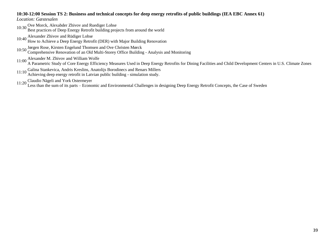#### **10:30-12:00 Session TS 2: Business and technical concepts for deep energy retrofits of public buildings (IEA EBC Annex 61)**

*Location: Gæstesalen*

10:30 Ove Morck, Alexabder Zhivov and Ruediger Lohse

Best practices of Deep Energy Retrofit building projects from around the world

10:40 Alexander Zhivov and Rüdiger Lohse

How to Achieve a Deep Energy Retrofit (DER) with Major Building Renovation

10:50 Jørgen Rose, Kirsten Engelund Thomsen and Ove Christen Mørck Comprehensive Renovation of an Old Multi-Storey Office Building - Analysis and Monitoring

11:00 Alexander M. Zhivov and William Wolfe<br>A Parametric Study of Core Energy Efficiency Measures Used in Deep Energy Retrofits for Dining Facilities and Child Development Centers in U.S. Climate Zones

11:10 Galina Stankevica, Andris Kreslins, Anatolijs Borodinecs and Renars Millers

Achieving deep energy retrofit in Latvian public building - simulation study.

11:20 Claudio Nägeli and York Ostermeyer Less than the sum of its parts – Economic and Environmental Challenges in designing Deep Energy Retrofit Concepts, the Case of Sweden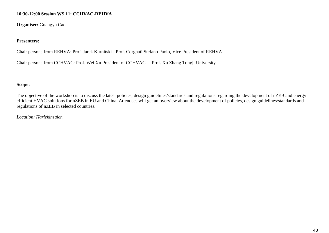### **10:30-12:00 Session WS 11: CCHVAC-REHVA**

**Organiser:** Guangyu Cao

### **Presenters:**

Chair persons from REHVA: Prof. Jarek Kurnitski - Prof. Corgnati Stefano Paolo, Vice President of REHVA

Chair persons from CCHVAC: Prof. Wei Xu President of CCHVAC - Prof. Xu Zhang Tongji University

### **Scope:**

The objective of the workshop is to discuss the latest policies, design guidelines/standards and regulations regarding the development of nZEB and energy efficient HVAC solutions for nZEB in EU and China. Attendees will get an overview about the development of policies, design guidelines/standards and regulations of nZEB in selected countries.

*Location: Harlekinsalen*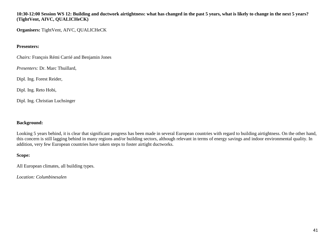**10:30-12:00 Session WS 12: Building and ductwork airtightness: what has changed in the past 5 years, what is likely to change in the next 5 years? (TightVent, AIVC, QUALICHeCK)**

**Organisers:** TightVent, AIVC, QUALICHeCK

### **Presenters:**

*Chairs:* François Rémi Carrié and Benjamin Jones

*Presenters:* Dr. Marc Thuillard,

Dipl. Ing. Forest Reider,

Dipl. Ing. Reto Hobi,

Dipl. Ing. Christian Luchsinger

### **Background:**

Looking 5 years behind, it is clear that significant progress has been made in several European countries with regard to building airtightness. On the other hand, this concern is still lagging behind in many regions and/or building sectors, although relevant in terms of energy savings and indoor environmental quality. In addition, very few European countries have taken steps to foster airtight ductworks.

### **Scope:**

All European climates, all building types.

*Location: Columbinesalen*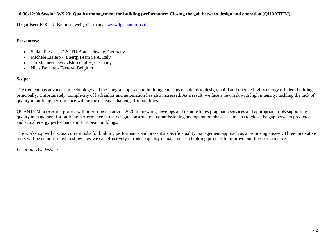### **10:30-12:00 Session WS 23: Quality management for building performance: Closing the gab between design and operation (QUANTUM)**

**Organiser:** IGS, TU Braunschweig, Germany - www.igs.bau.tu-bs.de

#### **Presenters:**

- Stefan Plesser IGS, TU Braunschweig, Germany
- Michele Liziero EnergyTeam SPA, Italy
- Jan Mehnert synavision GmbH, Germany
- Niels Delaere Factor4, Belgium

### **Scope:**

The tremendous advances in technology and the integral approach to building concepts enable us to design, build and operate highly energy efficient buildings principally. Unfortunately, complexity of hydraulics and automation has also increased. As a result, we face a new risk with high intensity: tackling the lack of quality in building performance will be the decisive challenge for buildings.

QUANTUM, a research project within Europe"s Horizon 2020 framework, develops and demonstrates pragmatic services and appropriate tools supporting quality management for building performance in the design, construction, commissioning and operation phase as a means to close the gap between predicted and actual energy performance in European buildings.

The workshop will discuss current risks for building performance and present a specific quality management approach as a promising answer. Three innovative tools will be demonstrated to show how we can effectively introduce quality management in building projects to improve building performance.

*Location: Bondestuen*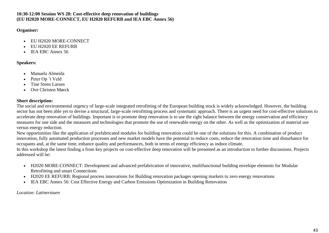### **10:30-12:00 Session WS 28: Cost-effective deep renovation of buildings (EU H2020 MORE-CONNECT, EU H2020 REFURB and IEA EBC Annex 56)**

### **Organiser:**

- EU H2020 MORE-CONNECT
- EU H2020 EE REFURB
- IEA EBC Annex 56

# **Speakers:**

- Manuela Almeida
- Peter Op "t Veld
- Tine Steen Larsen
- Ove Christen Mørck

# **Short description:**

The social and environmental urgency of large-scale integrated retrofitting of the European building stock is widely acknowledged. However, the building sector has not been able yet to devise a structural, large-scale retrofitting process and systematic approach. There is an urgent need for cost-effective solutions to accelerate deep renovation of buildings. Important is to promote deep renovation is to use the right balance between the energy conservation and efficiency measures for one side and the measures and technologies that promote the use of renewable energy on the other. As well as the optimization of material use versus energy reduction.

New opportunities like the application of prefabricated modules for building renovation could be one of the solutions for this. A combination of product innovation, fully automated production processes and new market models have the potential to reduce costs, reduce the renovation time and disturbance for occupants and, at the same time, enhance quality and performances, both in terms of energy efficiency as indoor climate.

In this workshop the latest finding a from key projects on cost-effective deep renovation will be presented as an introduction to further discussions. Projects addressed will be:

- H2020 MORE-CONNECT: Development and advanced prefabrication of innovative, multifunctional building envelope elements for Modular Retrofitting and smart Connections
- H2020 EE REFURB: Regional process innovations for Building renovation packages opening markets to zero energy renovations
- IEA EBC Annex 56: Cost Effective Energy and Carbon Emissions Optimization in Building Renovation

*Location: Latinerstuen*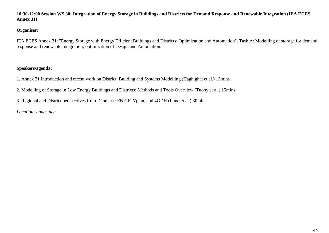**10:30-12:00 Session WS 30: Integration of Energy Storage in Buildings and Districts for Demand Response and Renewable Integration (IEA ECES Annex 31)**

### **Organiser:**

IEA ECES Annex 31: "Energy Storage with Energy Efficient Buildings and Districts: Optimization and Automation". Task A: Modelling of storage for demand response and renewable integration; optimization of Design and Automation.

### **Speakers/agenda:**

- 1. Annex 31 Introduction and recent work on District, Building and Systems Modelling (Haghighat et al.) 15mins.
- 2. Modelling of Storage in Low Energy Buildings and Districts: Methods and Tools Overview (Tuohy et al.) 15mins.
- 3. Regional and District perspectives from Denmark: ENERGYplan, and 4GDH (Lund et al.) 30mins

### *Location: Laugstuen*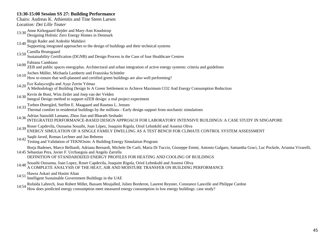# **13:30-15:00 Session SS 27: Building Performance**

| Chairs: Andreas K. Athienitis and Tine Steen Larsen                                                                                                                                                                                                                                                                       |
|---------------------------------------------------------------------------------------------------------------------------------------------------------------------------------------------------------------------------------------------------------------------------------------------------------------------------|
| Location: Det Lille Teater                                                                                                                                                                                                                                                                                                |
| 13:30 Anne Kirkegaard Bejder and Mary-Ann Knudstrup<br>Designing Holistic Zero Energy Homes in Denmark                                                                                                                                                                                                                    |
| Birgit Rader and Ardeshir Mahdavi<br>13:40<br>Supporting integrated approaches to the design of buildings and their technical systems                                                                                                                                                                                     |
| 13:50 Camilla Brunsgaard<br>Sustainability Certification (DGNB) and Design Process in the Case of four Healthcare Centres                                                                                                                                                                                                 |
| 14:00 Fabiana Cambiaso<br>ZEB and public spaces energyplus. Architectural and urban integration of active energy systems: criteria and guidelines                                                                                                                                                                         |
| Jochen Müller, Michaela Lambertz and Franziska Schüttler<br>14:10<br>How to ensure that well-planned and certified green buildings are also well performing?                                                                                                                                                              |
| 14:20 Ece Kalaycıoğlu and Ayşe Zerrin Yılmaz<br>A Methodology of Building Design In A Green Settlement to Achieve Maximum CO2 And Energy Consumption Reduction                                                                                                                                                            |
| 14:30 Kevin de Bont, Wim Zeiler and Joep van der Velden<br>Integral Design method to support nZEB design: a real project experiment                                                                                                                                                                                       |
| 14:33 Torben Østergård, Steffen E. Maagaard and Rasmus L. Jensen<br>Thermal comfort in residential buildings by the millions - Early design support from stochastic simulations                                                                                                                                           |
| Adrian Sansoldi Lamano, Zhou Jian and Bharath Seshadri<br>INTEGRATED PERFORMANCE-BASED DESIGN APPROACH FOR LABORATORY INTENSIVE BUILDINGS: A CASE STUDY IN SINGAPORE<br>14:36                                                                                                                                             |
| Roser Capdevila, Oussama Souaihi, Joan López, Joaquim Rigola, Oriol Lehmkihl and Assensi Oliva<br>ENERGY SIMULATION OF A SINGLE FAMILY DWELLING AS A TEST BENCH FOR CLIMATE CONTROL SYSTEM ASSESSMENT<br>14:39                                                                                                            |
| 14:42 Saqib Javed, Roman Lechner and Jan Behrens<br>14:42 Testing and Validation of TEKNOsim: A Building Energy Simulation Program                                                                                                                                                                                        |
| Borja Badenes, Marco Belliardi, Adriana Bernardi, Michele De Carli, Maria Di Tuccio, Giuseppe Emmi, Antonio Galgaro, Samantha Graci, Luc Pockele, Arianna Vivarelli,<br>14:45 Sebastian Pera, Javier F. Urchueguía and Angelo Zarrella<br>DEFINITION OF STANDARDIZED ENERGY PROFILES FOR HEATING AND COOLING OF BUILDINGS |
| 14:48 Souaihi Oussama, Joan Lopez, Roser Capdevila, Joaquim Rigola, Oriol Lehmkuhl and Assensi Oliva<br>A COMPLETE ANALYSIS OF THE HEAT, AIR AND MOISTURE TRANSFER ON BUILDING PERFORMANCE                                                                                                                                |
| Hawra Askari and Hasim Altan<br>14:51<br>Intelligent Sustainable Government Buildings in the UAE                                                                                                                                                                                                                          |

14:54 Rofaïda Lahrech, Jean Robert Millet, Bassam Moujalled, Julien Borderon, Laurent Reynier, Constance Lancelle and Philippe Cardon<br>How does predicted energy consumption meet measured energy consumption in low energy bui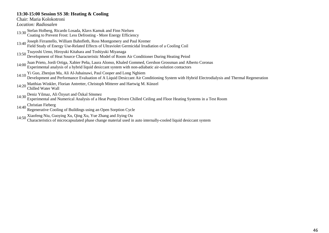### **13:30-15:00 Session SS 38: Heating & Cooling**

Chair: Maria Kolokotroni

*Location: Radiosalen*

- 13:30 Stefan Holberg, Ricardo Losada, Klavs Kamuk and Finn Nielsen Coating to Prevent Frost: Less Defrosting - More Energy Efficiency
- 13:40 Joseph Firrantello, William Bahnfleth, Ross Montgomery and Paul Kremer Field Study of Energy Use-Related Effects of Ultraviolet Germicidal Irradiation of a Cooling Coil
- 
- 
- 13:50 Tsuyoshi Ueno, Hiroyuki Kitahara and Toshiyuki Miyanaga Development of Heat Source Characteristic Model of Room Air Conditioner During Heating Peiod
- 14:00 Juan Prieto, Jordi Ortiga, Xabier Peña, Laura Alonso, Khaled Gommed, Gershon Grossman and Alberto Coronas Experimental analysis of a hybrid liquid desiccant system with non-adiabatic air-solution contactors
- 14:10 Yi Guo, Zhenjun Ma, Ali Al-Jubainawi, Paul Cooper and Long Nghiem Development and Performance Evaluation of A Liquid Desiccant Air Conditioning System with Hybrid Electrodialysis and Thermal Regeneration
- 14:20 Matthias Winkler, Florian Antretter, Christoph Mitterer and Hartwig M. Künzel Chilled Water Wall

- 
- 14:30 Deniz Yilmaz, Ali Özyurt and Özkal Sönmez Experimental and Numerical Analysis of a Heat Pump Driven Chilled Ceiling and Floor Heating Systems in a Test Room
- 
- 14:40 Christian Fieberg Regenerative Cooling of Buildings using an Open Sorption Cycle
- 
- 14:50 Xiaofeng Niu, Guoying Xu, Qing Xu, Yue Zhang and Jiying Ou Characteristics of microcapsulated phase change material used in auto internally-cooled liquid desiccant system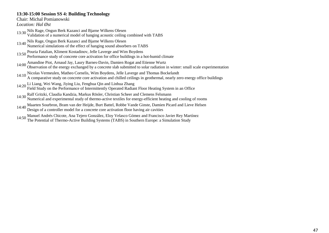### **13:30-15:00 Session SS 4: Building Technology**

Chair: Michal Pomianowski

*Location: Hal Øst*

- 13:30 Nils Rage, Ongun Berk Kazanci and Bjarne Wilkens Olesen Validation of a numerical model of hanging acoustic ceiling combined with TABS
- 
- 13:40 Nils Rage, Ongun Berk Kazanci and Bjarne Wilkens Olesen Numerical simulations of the effect of hanging sound absorbers on TABS
- 13:50 Pouria Fatalian, Kliment Kostadinov, Jelle Laverge and Wim Boydens Performance study of concrete core activation for office buildings in a hot-humid climate
- 14:00 Amandine Piot, Arnaud Jay, Laury Barnes-Davin, Damien Rogat and Etienne Wurtz Observation of the energy exchanged by a concrete slab submitted to solar radiation in winter: small scale experimentation
- 14:10 Nicolas Vermeulen, Matheo Cornelis, Wim Boydens, Jelle Laverge and Thomas Bockelandt A comparative study on concrete core activation and chilled ceilings in geothermal, nearly zero energy office buildings
- 
- 14:20 Li Liang, Wei Wang, Jiying Liu, Fenghua Qin and Linhua Zhang Field Study on the Performance of Intermittently Operated Radiant Floor Heating System in an Office
- 14:30 Ralf Gritzki, Claudia Kandzia, Markus Rösler, Christian Scheer and Clemens Felsmann Numerical and experimental study of thermo-active textiles for energy-efficient heating and cooling of rooms
- 14:40 Maarten Sourbron, Bram van der Heijde, Burt Battel, Robbe Vande Ginste, Damien Picard and Lieve Helsen Design of a controller model for a concrete core activation floor having air cavities
- 14:50 Manuel Andrés Chicote, Ana Tejero González, Eloy Velasco Gómez and Francisco Javier Rey Martínez The Potential of Thermo-Active Building Systems (TABS) in Southern Europe: a Simulation Study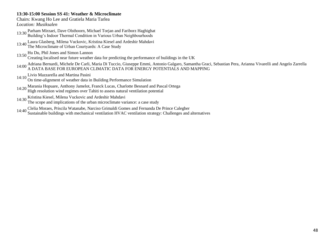### **13:30-15:00 Session SS 41: Weather & Microclimate**

Chairs: Kwang Ho Lee and Gratiela Maria Tarlea *Location: Musiksalen*

- 13:30 Parham Mirzaei, Dave Olsthoorn, Michael Torjan and Fariborz Haghighat Building"s Indoor Thermal Condition in Various Urban Neighbourhoods
- 13:40 Laura Glasberg, Milena Vuckovic, Kristina Kiesel and Ardeshir Mahdavi The Microclimate of Urban Courtyards: A Case Study
- 13:50 Hu Du, Phil Jones and Simon Lannon
	- Creating localised near future weather data for predicting the performance of buildings in the UK
- 14:00 Adriana Bernardi, Michele De Carli, Maria Di Tuccio, Giuseppe Emmi, Antonio Galgaro, Samantha Graci, Sebastian Pera, Arianna Vivarelli and Angelo Zarrella A DATA BASE FOR EUROPEAN CLIMATIC DATA FOR ENERGY POTENTIALS AND MAPPING
- 14:10 Livio Mazzarella and Martina Pasini
- On time-alignment of weather data in Building Performance Simulation
- 14:20 Marania Hopuare, Anthony Jamelot, Franck Lucas, Charlotte Besnard and Pascal Ortega
- High resolution wind regimes over Tahiti to assess natural ventilation potential
- 
- 14:30 Kristina Kiesel, Milena Vuckovic and Ardeshir Mahdavi The scope and implications of the urban microclimate variance: a case study
- 14:40 Clelia Moraes, Priscila Watanabe, Narciso Grimaldi Gomes and Fernanda De Prince Calegher
- Sustainable buildings with mechanical ventilation HVAC ventilation strategy: Challenges and alternatives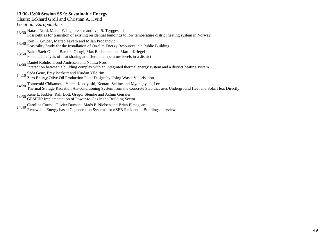#### **13:30-15:00 Session SS 9: Sustainable Energy**

Chairs: Eckhard Groll and Christian A. Hviid

*Location: Europahallen*

- 13:30 Natasa Nord, Maren E. Ingebretsen and Ivar S. Tryggestad Possibilities for transition of existing residential buildings to low temperature district heating system in Norway
- 
- 13:40 Jorn K. Gruber, Matteo Favero and Milan Prodanovic Feasibility Study for the Installation of On-Site Energy Resources in a Public Building
- 13:50 Bahar Saeb-Gilani, Barbara Giorgi, Max Bachmann and Martin Kriegel Potential analysis of heat sharing at different temperature levels in a district
- 14:00 Daniel Rohde, Trond Andresen and Natasa Nord

Interaction between a building complex with an integrated thermal energy system and a district heating system

- 
- 14:10 Seda Genc, Eray Bozkurt and Nurdan Yildirim Zero Energy Olive Oil Production Plant Design by Using Waste Valorisation
- 14:20 Tomoyuki Chikamoto, Yoichi Kobayashi, Kentaro Sekine and Myonghyang Lee Thermal Storage Radiation Air-conditioning System from the Concrete Slab that uses Underground Heat and Solar Heat Directly
- 14:30 René L. Kobler, Ralf Dott, Gregor Steinke and Achim Geissler GEMEN: Implementation of Power-to-Gas in the Building Sector
- 
- 14:40 Carolina Carmo, Olivier Dumont, Mads P. Nielsen and Brian Elmegaard Renewable Energy based Cogeneration Systems for nZEB Residential Buildings: a review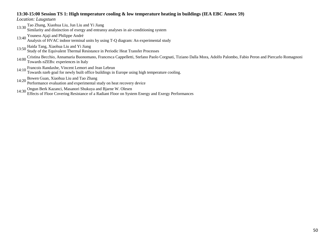#### **13:30-15:00 Session TS 1: High temperature cooling & low temperature heating in buildings (IEA EBC Annex 59)**

*Location: Laugstuen*

13:30 Tao Zhang, Xiaohua Liu, Jun Liu and Yi Jiang

Similarity and distinction of exergy and entransy analyses in air-conditioning system

13:40 Youness Ajaji and Philippe André

Analysis of HVAC indoor terminal units by using T-Q diagram: An experimental study

- 
- 13:50 Haida Tang, Xiaohua Liu and Yi Jiang Study of the Equivalent Thermal Resistance in Periodic Heat Transfer Processes
- 14:00 Cristina Becchio, Annamaria Buonomano, Francesca Cappelletti, Stefano Paolo Corgnati, Tiziano Dalla Mora, Adolfo Palombo, Fabio Peron and Piercarlo Romagnoni 14:00 Towards nZEBs: experiences in Italy
- 

14:10 Francois Randaxhe, Vincent Lemort and Jean Lebrun Towards nzeb goal for newly built office buildings in Europe using high temperature cooling.

- 14:20 Bowen Guan, Xiaohua Liu and Tao Zhang Performance evaluation and experimental study on heat recovery device
- 
- 14:30 Ongun Berk Kazanci, Masanori Shukuya and Bjarne W. Olesen Effects of Floor Covering Resistance of a Radiant Floor on System Energy and Exergy Performances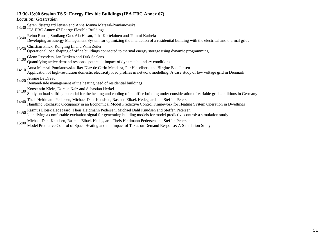### **13:30-15:00 Session TS 5: Energy Flexible Buildings (IEA EBC Annex 67)**

*Location: Gæstesalen*

- 13:30 Søren Østergaard Jensen and Anna Joanna Marszal-Pomianowska
	- IEA EBC Annex 67 Energy Flexible Buildings
- 13:40 Reino Ruusu, Sunliang Cao, Ala Hasan, Juha Kortelainen and Tommi Karhela
- Developing an Energy Management System for optimizing the interaction of a residential building with the electrical and thermal grids
- 
- 13:50 Christian Finck, Rongling Li and Wim Zeiler Operational load shaping of office buildings connected to thermal energy storage using dynamic programming
- 14:00 Glenn Reynders, Jan Diriken and Dirk Saelens
- Quantifying active demand response potential: impact of dynamic boundary conditions
- 14:10 Anna Marszal-Pomianowska, Iker Diaz de Cerio Mendaza, Per Heiselberg and Birgitte Bak-Jensen Application of high-resolution domestic electricity load profiles in network modelling. A case study of low voltage grid in Denmark
- 14:20 Jérôme Le Dréau
	- Demand-side management of the heating need of residential buildings
- 14:30 Konstantin Klein, Doreen Kalz and Sebastian Herkel
- Study on load shifting potential for the heating and cooling of an office building under consideration of variable grid conditions in Germany
- 14:40 Theis Heidmann Pedersen, Michael Dahl Knudsen, Rasmus Elbæk Hedegaard and Steffen Petersen
- Handling Stochastic Occupancy in an Economical Model Predictive Control Framework for Heating System Operation in Dwellings
- 14:50 Rasmus Elbæk Hedegaard, Theis Heidmann Pedersen, Michael Dahl Knudsen and Steffen Petersen
- Identifying a comfortable excitation signal for generating building models for model predictive control: a simulation study
- 15:00 Michael Dahl Knudsen, Rasmus Elbæk Hedegaard, Theis Heidmann Pedersen and Steffen Petersen
	- Model Predictive Control of Space Heating and the Impact of Taxes on Demand Response: A Simulation Study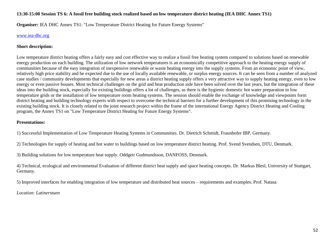### **13:30-15:00 Session TS 6: A fossil free building stock realized based on low temperature district heating (IEA DHC Annex TS1)**

**Organiser: IEA DHC Annex TS1: "Low Temperature District Heating for Future Energy Systems"** 

### www.iea-dhc.org

### **Short description:**

Low temperature district heating offers a fairly easy and cost effective way to realize a fossil free heating system compared to solutions based on renewable energy production on each building. The utilization of low network temperatures is an economically competitive approach to the heating energy supply of communities because of the easy integration of inexpensive renewable or waste heating energy into the supply systems. From an economic point of view, relatively high price stability and be expected due to the use of locally available renewable, or surplus energy sources. It can be seen from a number of analyzed case studies / community developments that especially for new areas a district heating supply offers a very attractive way to supply heating energy, even to low energy or even passive houses. Most technical challenges on the grid and heat production side have been solved over the last years, but the integration of these ideas into the building stock, especially for existing buildings offers a lot of challenges, as there is the hygienic domestic hot water preparation in low temperature grids or the installation of low temperature room heating systems. The session should enable the exchange of knowledge and viewpoints form district heating and building technology experts with respect to overcome the technical barriers for a further development of this promising technology in the existing building stock. It is closely related to the joint research project within the frame of the international Energy Agency District Heating and Cooling program, the Annex TS1 on "Low Temperature District Heating for Future Energy Systems".

### **Presentations:**

1) Successful Implementation of Low Temperature Heating Systems in Communities. Dr. Dietrich Schmidt, Fraunhofer IBP, Germany.

2) Technologies for supply of heating and hot water to buildings based on low temperature district heating. Prof. Svend Svendsen, DTU, Denmark.

3) Building solutions for low temperature heat supply. Oddgeir Gudmundsson, DANFOSS, Denmark.

4) Technical, ecological and environmental Evaluation of different district heat supply and space heating concepts. Dr. Markus Blesl, University of Stuttgart, Germany.

5) Improved interfaces for enabling integration of low temperature and distributed heat sources – requirements and examples. Prof. Natasa

*Location: Latinerstuen*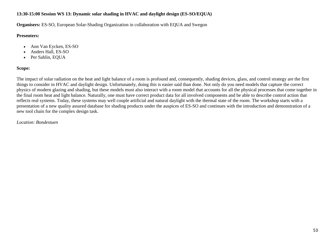## **13:30-15:00 Session WS 13: Dynamic solar shading in HVAC and daylight design (ES-SO/EQUA)**

**Organisers:** ES-SO, European Solar-Shading Organization in collaboration with EQUA and Swegon

### **Presenters:**

- Ann Van Eycken, ES-SO
- Anders Hall, ES-SO
- Per Sahlin, EQUA

## **Scope:**

The impact of solar radiation on the heat and light balance of a room is profound and, consequently, shading devices, glass, and control strategy are the first things to consider in HVAC and daylight design. Unfortunately, doing this is easier said than done. Not only do you need models that capture the correct physics of modern glazing and shading, but these models must also interact with a room model that accounts for all the physical processes that come together in the final room heat and light balance. Naturally, one must have correct product data for all involved components and be able to describe control action that reflects real systems. Today, these systems may well couple artificial and natural daylight with the thermal state of the room. The workshop starts with a presentation of a new quality assured database for shading products under the auspices of ES-SO and continues with the introduction and demonstration of a new tool chain for the complex design task.

*Location: Bondestuen*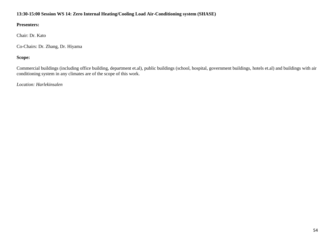### **13:30-15:00 Session WS 14: Zero Internal Heating/Cooling Load Air-Conditioning system (SHASE)**

### **Presenters:**

Chair: Dr. Kato

Co-Chairs: Dr. Zhang, Dr. Hiyama

# **Scope:**

Commercial buildings (including office building, department et.al), public buildings (school, hospital, government buildings, hotels et.al) and buildings with air conditioning system in any climates are of the scope of this work.

*Location: Harlekinsalen*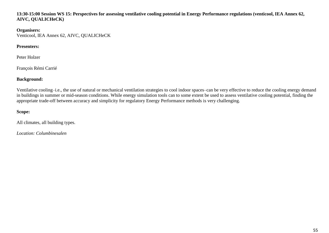### **13:30-15:00 Session WS 15: Perspectives for assessing ventilative cooling potential in Energy Performance regulations (venticool, IEA Annex 62, AIVC, QUALICHeCK)**

#### **Organisers:**

Venticool, IEA Annex 62, AIVC, QUALICHeCK

# **Presenters:**

Peter Holzer

François Rémi Carrié

# **Background:**

Ventilative cooling–i.e., the use of natural or mechanical ventilation strategies to cool indoor spaces–can be very effective to reduce the cooling energy demand in buildings in summer or mid-season conditions. While energy simulation tools can to some extent be used to assess ventilative cooling potential, finding the appropriate trade-off between accuracy and simplicity for regulatory Energy Performance methods is very challenging.

# **Scope:**

All climates, all building types.

*Location: Columbinesalen*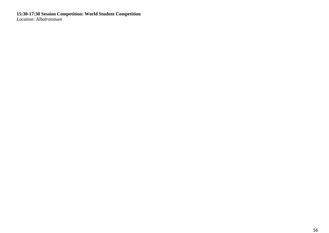**15:30-17:30 Session Competition: World Student Competition** *Location: Albatrosstuen*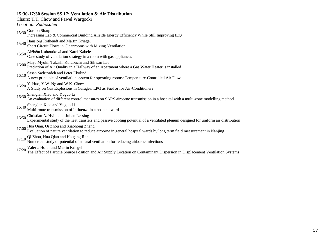### **15:30-17:30 Session SS 17: Ventilation & Air Distribution**

Chairs: T.T. Chow and Pawel Wargocki *Location: Radiosalen* 15:30 Gordon Sharp Increasing Lab & Commercial Building Airside Energy Efficiency While Still Improving IEQ 15:40 Hansjörg Rotheudt and Martin Kriegel Short Circuit Flows in Cleanrooms with Mixing Ventilation 15:50 Alžběta Kohoutková and Karel Kabele Case study of ventilation strategy in a room with gas appliances 16:00 Maya Myoki, Takashi Kurabuchi and Sihwan Lee Prediction of Air Quality in a Hallway of an Apartment where a Gas Water Heater is installed 16:10 Sasan Sadrizadeh and Peter Ekolind A new principle of ventilation system for operating rooms: Temperature-Controlled Air Flow 16:20 Y. Huo, Y.W. Ng and W.K. Chow A Study on Gas Explosions in Garages: LPG as Fuel or for Air-Conditioner? 16:30 Shenglan Xiao and Yuguo Li An evaluation of different control measures on SARS airborne transmission in a hospital with a multi-zone modelling method 16:40 Shenglan Xiao and Yuguo Li Multi-route transmission of influenza in a hospital ward 16:50 Christian A. Hviid and Julian Lessing Experimental study of the heat transfers and passive cooling potential of a ventilated plenum designed for uniform air distribution 17:00 Hua Qian, Qi Zhou and Xiaohong Zheng Evaluation of nature ventilation to reduce airborne in general hospital wards by long term field measurement in Nanjing 17:10 Qi Zhou, Hua Qian and Haigang Ren Numerical study of potential of natural ventilation for reducing airborne infections 17:20 Valeria Hofer and Martin Kriegel The Effect of Particle Source Position and Air Supply Location on Contaminant Dispersion in Displacement Ventilation Systems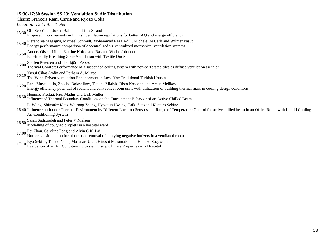### **15:30-17:30 Session SS 23: Ventialtion & Air Distribution**

Chairs: Francois Remi Carrie and Ryozo Ooka

*Location: Det Lille Teater*

- 15:30 Olli Seppänen, Jorma Railio and Tiina Strand Proposed improvements in Finnish ventilation regulations for better IAQ and energy efficiency
- 15:40 Pierandrea Magagna, Michael Schmidt, Mohammad Reza Adili, Michele De Carli and Wilmer Pasut Energy performance comparison of decentralized vs. centralized mechanical ventilation systems
- 15:50 Anders Olsen, Lillian Katrine Kofod and Rasmus Wiebe Johansen
	- Eco-friendly Breathing Zone Ventilation with Textile Ducts
- 16:00 Steffen Petersen and Thorbjörn Persson

Thermal Comfort Performance of a suspended ceiling system with non-perforated tiles as diffuse ventilation air inlet

- 
- 16:10 Yusuf Cihat Aydin and Parham A. Mirzaei The Wind Driven-ventilation Enhancement in Low-Rise Traditional Turkish Houses
- 16:20 Panu Mustakallio, Zhecho Bolashikov, Tetiana Mialyk, Risto Kosonen and Arsen Melikov Energy efficiency potential of radiant and convective room units with utilization of building thermal mass in cooling design conditions
- 16:30 Henning Freitag, Paul Mathis and Dirk Müller
- Influence of Thermal Boundary Conditions on the Entrainment Behavior of an Active Chilled Beam

Li Wang, Shinsuke Kato, Weirong Zhang, Hyokeun Hwang, Taiki Sato and Kentaro Sekine

- 16:40 Influence on Indoor Thermal Environment by Different Location Sensors and Range of Temperature Control for active chilled beam in an Office Room with Liquid Cooling Air-conditioning System
- 16:50 Sasan Sadrizadeh and Peter V Nielsen
	- Modelling of coughed droplets in a hospital ward
- 17:00 Pei Zhou, Caroline Fong and Alvin C.K. Lai
- Numerical simulation for bioaerosol removal of applying negative ionizers in a ventilated room
- 
- 17:10 Ryo Sekine, Tatsuo Nobe, Masanari Ukai, Hiroshi Muramatsu and Hanako Sugawara Evaluation of an Air Conditioning System Using Climate Properties in a Hospital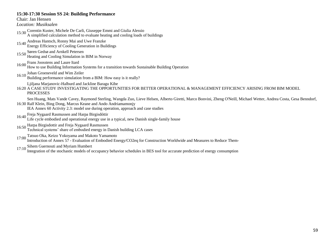#### **15:30-17:30 Session SS 24: Building Performance**

Chair: Jan Hensen

*Location: Musiksalen*

- 15:30 Corentin Kuster, Michele De Carli, Giuseppe Emmi and Giulia Alessio A simplified calculation method to evaluate heating and cooling loads of buildings
- 15:40 Andreas Hantsch, Ronny Mai and Uwe Franzke
- Energy Efficiency of Cooling Generation in Buildings
- 
- 15:50 Søren Gedsø and Arnkell Petersen Heating and Cooling Simulation in BIM in Norway
- 16:00 Frans Joosstens and Laure Itard
	- How to use Building Information Systems for a transition towards Sustainable Building Operation
- 16:10 Johan Groeneveld and Wim Zeiler
	- Building performance simulation from a BIM: How easy is it really?

Ljiljana Marjanovic-Halburd and Jackline Baragu Kibe

16:20 A CASE STUDY INVESTIGATING THE OPPORTUNITIES FOR BETTER OPERATIONAL & MANAGEMENT EFFICIENCY ARISING FROM BIM MODEL PROCESSES

16:30 Ralf Klein, Bing Dong, Marcus Keane and Ando Andriamamonjy Sen Huang, Mats Vande Cavey, Raymond Sterling, Wangda Zuo, Lieve Helsen, Alberto Giretti, Marco Bonvini, Zheng O'Neill, Michael Wetter, Andrea Costa, Gesa Benndorf,

IEA Annex 60 Activity 2.3: model use during operation, approach and case studies

- 
- 16:40 Freja Nygaard Rasmussen and Harpa Birgisdóttir Life cycle embodied and operational energy use in a typical, new Danish single-family house
- 16:50 Harpa Birgisdottir and Freja Nygaard Rasmussen
- Technical systems" share of embodied energy in Danish building LCA cases
- 17:00 Tatsuo Oka, Keizo Yokoyama and Makoto Yamamoto

Introduction of Annex 57 - Evaluation of Embodied Energy/CO2eq for Construction Worldwide and Measures to Reduce Them-

17:10 Sihem Guernouti and Myriam Humbert

Integration of the stochastic models of occupancy behavior schedules in BES tool for accurate prediction of energy consumption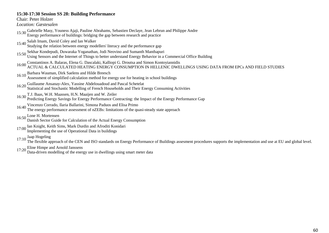### **15:30-17:30 Session SS 28: Building Performance**

Chair: Peter Holzer *Location: Gæstesalen* 15:30 Gabrielle Masy, Youness Ajaji, Pauline Abrahams, Sebastien Declaye, Jean Lebrun and Philippe Andre Energy performance of buildings: bridging the gap between research and practice 15:40 Salah Imam, David Coley and Ian Walker Studying the relation between energy modellers' literacy and the performance gap 15:50 Sekhar Kondepudi, Duwaraka Yoganathan, Jodi Neovino and Sumanth Manthapuri Using Sensors and the Internet of Things to better understand Energy Behavior in a Commercial Office Building 16:00 Constantinos A. Balaras, Elena G. Dascalaki, Kalliopi G. Droutsa and Simon Kontoyiannidis ACTUAL & CALCULATED HEATING ENERGY CONSUMPTION IN HELLENIC DWELLINGS USING DATA FROM EPCs AND FIELD STUDIES 16:10 Barbara Wauman, Dirk Saelens and Hilde Breesch Assessment of simplified calculation method for energy use for heating in school buildings 16:20 Guillaume Ansanay-Alex, Yassine Abdelouadoud and Pascal Schetelat Statistical and Stochastic Modelling of French Households and Their Energy Consuming Activities 16:30 T.J. Baas, W.H. Maassen, H.N. Maaijen and W. Zeiler Predicting Energy Savings for Energy Performance Contracting: the Impact of the Energy Performance Gap 16:40 Vincenzo Corrado, Ilaria Ballarini, Simona Paduos and Elisa Primo The energy performance assessment of nZEBs: limitations of the quasi-steady state approach  $16:50$  Lone H. Mortensen Danish Sector Guide for Calculation of the Actual Energy Consumption 17:00 Ian Knight, Keith Sims, Mark Durdin and Afroditi Konidari Implementing the use of Operational Data in buildings 17:10 Jaap Hogeling<br>The flexible approach of the CEN and ISO standards on Energy Performance of Buildings assesment procedures supports the implementation and use at EU and global level.

17:20 Eline Himpe and Arnold Janssens Data-driven modelling of the energy use in dwellings using smart meter data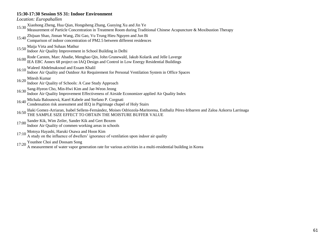#### **15:30-17:30 Session SS 31: Indoor Environment**

*Location: Europahallen*

- 15:30 Xiaohong Zheng, Hua Qian, Hongsheng Zhang, Guoying Xu and Jin Ye
- Measurement of Particle Concentration in Treatment Room during Traditional Chinese Acupuncture & Moxibustion Therapy
- 15:40 Zhijuan Shao, Jinnan Wang, Zhi Gao, Vu Trung Hieu Nguyen and Jun Bi
- Comparison of indoor concentration of PM2.5 between different residences
- 
- 15:50 Maija Virta and Suhaas Mathur Indoor Air Quality Improvement in School Building in Delhi
- 16:00 Rode Carsten, Marc Abadie, Menghao Qin, John Grunewald, Jakub Kolarik and Jelle Laverge IEA EBC Annex 68 project on IAQ Design and Control in Low Energy Residential Buildings
- 16:10 Waleed Abdelmaksoud and Essam Khalil
	- Indoor Air Quality and Outdoor Air Requirement for Personal Ventilation System in Office Spaces
- 16:20 Mitesh Kumar

Indoor Air Quality of Schools: A Case Study Approach

- 16:30 Sang-Hyeon Cho, Min-Hwi Kim and Jae-Weon Jeong
- Indoor Air Quality Improvement Effectiveness of Airside Economizer applied Air Quality Index
- 16:40 Michala Balounová, Karel Kabele and Stefano P. Corgnati
- Condensation risk assessment and IEQ in Pigrimage chapel of Holy Stairs
- 16:50 Iñaki Gomez-Arriaran, Isabel Sellens-Fernández, Moises Odriozola-Maritorena, Estibaliz Pérez-Iribarren and Zaloa Azkorra Larrinaga THE SAMPLE SIZE EFFECT TO OBTAIN THE MOISTURE BUFFER VALUE
- 17:00 Sander Kik, Wim Zeiler, Sander Kik and Gert Boxem
	- Indoor Air Quality of commen working areas in schools
- 17:10 Motoya Hayashi, Haruki Osawa and Hoon Kim
	- A study on the influence of dwellers" ignorance of ventilation upon indoor air quality
- 
- 17:20 Younhee Choi and Doosam Song A measurement of water vapor generation rate for various activities in a multi-residential building in Korea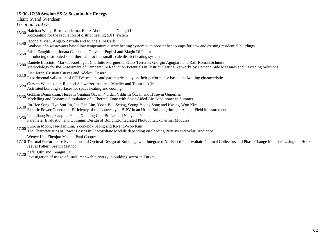#### **15:30-17:30 Session SS 8: Sustainable Energy**

Chair: Svend Svendsen

*Location: Hal Øst*

- 15:30 Haichao Wang, Risto Lahdelma, Elnaz Abdollahi and Xiangli Li Accounting for the regulation of district heating (DH) system
- 15:40 Jacopo Vivian, Angelo Zarrella and Michele De Carli
- Analysis of a wastewater based low temperature district heating system with booster heat pumps for new and existing residential buildings
- 15:50 Fabio Zanghirella, Jonata Canonaco, Giovanni Puglisi and Biagio Di Pietra
- Introducing distributed solar thermal heat in a small-scale district heating system
- 16:00 Daniele Basciotti, Markus Koefinger, Charlotte Marguerite, Olatz Terreros, Giorgio Agugiaro and Ralf-Roman Schmidt Methodology for the Assessment of Temperature Reduction Potentials in District Heating Networks by Demand Side Measures and Cascading Solutions
- 16:10 Juan Jerez, Cristian Cuevas and Adelqui Fissore
- Experimental validation of SDHW systems and parametric study on their performance based on dwelling characteristics
- 16:20 Carsten Wemhoener, Raphael Schweizer, Andreas Mueller and Thomas Afjei
- Activated building surfaces for space heating and cooling
- 16:30 Gökhan Demirkıran, Hüseyin Günhan Özcan, Nurdan Yıldırım Özcan and Hüseyin Günerhan Modelling and Dynamic Simulation of a Thermal Zone with Solar Aided Air Conditioner in Summer
- 
- 16:40 Jin-Hee Song, Hye-Sun Jin, Jae-Han Lim, Yoon-Bok Seong, Seung-Yeong Song and Kwang-Woo Kim Electric Power Generation Efficiency of the Louver-type BIPV in an Urban Building through Annual Field Measurement
- 16:50 Liangliang Sun, Yanping Yuan, Xiaoling Cao, Bo Lei and Nanyang Yu Parameter Evaluation and Optimum Design of Building-Integrated Photovoltaic-Thermal Modules
- 17:00 Eun-Jin Moon, Jae-Han Lim, Yoon-Bok Seong and Kwang-Woo Kim The Characteristics of Power Losses in Photovoltaic Module depending on Shading Patterns and Solar Irradiance

Wenye Lin, Zhenjun Ma and Paul Cooper

- 17:10 Thermal Performance Evaluation and Optimal Design of Buildings with Integrated Air-Based Photovoltaic Thermal Collectors and Phase Change Materials Using the Hooke-Jeeves Pattern Search Method
- 17:20 Zafer Utlu and Iremgül Utlu
	- Investigation of usage of 100% renewable energy in building sector in Turkey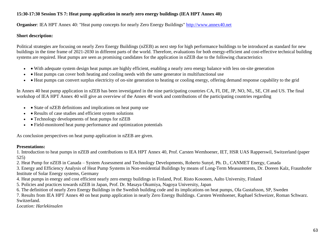## **15:30-17:30 Session TS 7: Heat pump application in nearly zero energy buildings (IEA HPT Annex 40)**

**Organiser**: IEA HPT Annex 40: "Heat pump concepts for nearly Zero Energy Buildings" http://www.annex40.net

### **Short description:**

Political strategies are focusing on nearly Zero Energy Buildings (nZEB) as next step for high performance buildings to be introduced as standard for new buildings in the time frame of 2021-2030 in different parts of the world. Therefore, evaluations for both energy-efficient and cost-effective technical building systems are required. Heat pumps are seen as promising candidates for the application in nZEB due to the following characteristics

- With adequate system design heat pumps are highly efficient, enabling a nearly zero energy balance with less on-site generation
- Heat pumps can cover both heating and cooling needs with the same generator in multifunctional use
- Heat pumps can convert surplus electricity of on-site generation to heating or cooling energy, offering demand response capability to the grid

In Annex 40 heat pump application in nZEB has been investigated in the nine participating countries CA, FI, DE, JP, NO, NL, SE, CH and US. The final workshop of IEA HPT Annex 40 will give an overview of the Annex 40 work and contributions of the participating countries regarding

- $\bullet$  State of nZEB definitions and implications on heat pump use
- Results of case studies and efficient system solutions
- • Technology developments of heat pumps for nZEB
- • Field-monitored heat pump performance and optimization potentials

As conclusion perspectives on heat pump application in nZEB are given.

### **Presentations:**

1. Introduction to heat pumps in nZEB and contributions to IEA HPT Annex 40, Prof. Carsten Wemhoener, IET, HSR UAS Rapperswil, Switzerland (paper 525)

2. Heat Pump for nZEB in Canada – System Assessment and Technology Developments, Roberto Sunyé, Ph. D., CANMET Energy, Canada

3. Energy and Efficiency Analysis of Heat Pump Systems in Non-residential Buildings by means of Long-Term Measurements, Dr. Doreen Kalz, Fraunhofer Institute of Solar Energy systems, Germany

- 4. Heat pumps in energy and cost efficient nearly zero energy buildings in Finland, Prof. Risto Kosonen, Aalto University, Finland
- 5. Policies and practices towards nZEB in Japan, Prof. Dr. Masaya Okumiya, Nagoya University, Japan

6. The definition of nearly Zero Energy Buildings in the Swedish building code and its implications on heat pumps, Ola Gustafsson, SP, Sweden

7. Results from IEA HPT Annex 40 on heat pump application in nearly Zero Energy Buildings. Carsten Wemhoener, Raphael Schweizer, Roman Schwarz. Switzerland.

*Location: Harlekinsalen*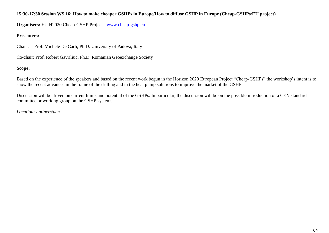### **15:30-17:30 Session WS 16: How to make cheaper GSHPs in Europe/How to diffuse GSHP in Europe (Cheap-GSHPs/EU project)**

**Organisers:** EU H2020 Cheap-GSHP Project - www.cheap-gshp.eu

### **Presenters:**

Chair : Prof. Michele De Carli, Ph.D. University of Padova, Italy

Co-chair: Prof. Robert Gavriliuc, Ph.D. Romanian Geoexchange Society

# **Scope:**

Based on the experience of the speakers and based on the recent work begun in the Horizon 2020 European Project "Cheap-GSHPs" the workshop"s intent is to show the recent advances in the frame of the drilling and in the heat pump solutions to improve the market of the GSHPs.

Discussion will be driven on current limits and potential of the GSHPs. In particular, the discussion will be on the possible introduction of a CEN standard committee or working group on the GSHP systems.

*Location: Latinerstuen*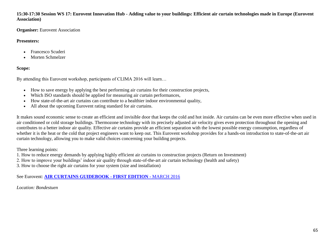**15:30-17:30 Session WS 17: Eurovent Innovation Hub - Adding value to your buildings: Efficient air curtain technologies made in Europe (Eurovent Association)**

**Organiser:** Eurovent Association

## **Presenters:**

- Francesco Scuderi
- Morten Schmelzer

## **Scope:**

By attending this Eurovent workshop, participants of CLIMA 2016 will learn…

- How to save energy by applying the best performing air curtains for their construction projects,
- Which ISO standards should be applied for measuring air curtain performances,
- How state-of-the-art air curtains can contribute to a healthier indoor environmental quality,
- All about the upcoming Eurovent rating standard for air curtains.

It makes sound economic sense to create an efficient and invisible door that keeps the cold and hot inside. Air curtains can be even more effective when used in air conditioned or cold storage buildings. Thermozone technology with its precisely adjusted air velocity gives even protection throughout the opening and contributes to a better indoor air quality. Effective air curtains provide an efficient separation with the lowest possible energy consumption, regardless of whether it is the heat or the cold that project engineers want to keep out. This Eurovent workshop provides for a hands-on introduction to state-of-the-art air curtain technology, allowing you to make valid choices concerning your building projects.

Three learning points:

- 1. How to reduce energy demands by applying highly efficient air curtains to construction projects (Return on Investment)
- 2. How to improve your buildings" indoor air quality through state-of-the-art air curtain technology (health and safety)
- 3. How to choose the right air curtains for your system (size and installation)

See Eurovent: **AIR CURTAINS GUIDEBOOK - FIRST EDITION -** MARCH 2016

*Location: Bondestuen*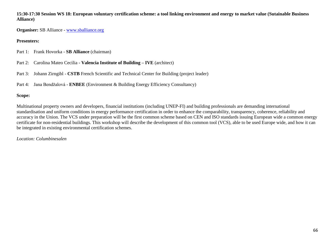**15:30-17:30 Session WS 18: European voluntary certification scheme: a tool linking environment and energy to market value (Sutainable Business Alliance)**

**Organiser:** SB Alliance - www.sballiance.org

### **Presenters:**

- Part 1: Frank Hovorka **SB Alliance** (chairman)
- Part 2: Carolina Mateo Cecilia **Valencia Institute of Building – IVE** (architect)
- Part 3: Johann Zirngibl **CSTB** French Scientific and Technical Center for Building (project leader)
- Part 4: Jana Bendžalová **ENBEE** (Environment & Building Energy Efficiency Consultancy)

# **Scope:**

Multinational property owners and developers, financial institutions (including UNEP-FI) and building professionals are demanding international standardisation and uniform conditions in energy performance certification in order to enhance the comparability, transparency, coherence, reliability and accuracy in the Union. The VCS under preparation will be the first common scheme based on CEN and ISO standards issuing European wide a common energy certificate for non-residential buildings. This workshop will describe the development of this common tool (VCS), able to be used Europe wide, and how it can be integrated in existing environmental certification schemes.

# *Location: Columbinesalen*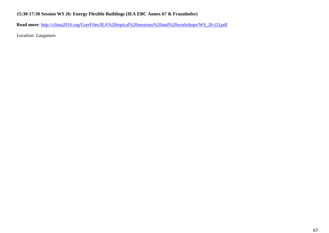# **15:30-17:30 Session WS 26: Energy Flexible Buildings (IEA EBC Annex 67 & Fraunhofer)**

**Read more**: [http://clima2016.org/UserFiles/IEA%20topical%20sessions%20and%20workshops/WS\\_26-\(2\).pdf](http://clima2016.org/UserFiles/IEA%20topical%20sessions%20and%20workshops/WS_26-(2).pdf)

*Location: Laugstuen*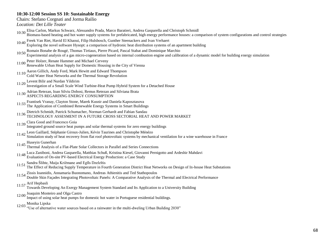### **10:30-12:00 Session SS 10: Sustainable Energy**

Chairs: Stefano Corgnati and Jorma Railio

*Location: Det Lille Teater*

- 10:30 Elisa Carlon, Markus Schwarz, Alessandro Prada, Marco Baratieri, Andrea Gasparella and Christoph Schmidl
- Biomass-based heating and hot water supply systems for prefabricated, high energy performance houses: a comparison of system configurations and control strategies

10:40 Freek Van Riet, Havid El Khaoui, Filip Hulsbosch, Gunther Steenackers and Ivan Verhaert

- Exploring the novel software Hysopt: a comparison of hydronic heat distribution systems of an apartment building
- 10:50 Romain Bonabe de Rougé, Thomas Tirtiaux, Pierre Picard, Pascal Stabat and Dominique Marchio
- Experimental analysis of a gas micro-cogeneration based on internal combustion engine and calibration of a dynamic model for building energy simulation
- 11:00 Peter Holzer, Renate Hammer and Michael Cerveny
- Renewable Urban Heat Supply for Domestic Housing in the City of Vienna
- 11:10 Aaron Gillich, Andy Ford, Mark Hewitt and Edward Thompson
- Cold Water Heat Networks and the Thermal Storage Revolution
- 11:20 Levent Bilir and Nurdan Yildirim
- Investigation of a Small Scale Wind Turbine-Heat Pump Hybrid System for a Detached House
- 11:30 Adrian Retezan, Ioan Silviu Dobosi, Remus Retezan and Silviana Brata
- ASPECTS REGARDING ENERGY CONSUMPTION
- 11:33 Frantisek Vranay, Clayton Stone, Marek Kusnir and Daniela Kaposztasova The Application of Combined Renewable Energy Systems in Smart Buildings
- 11:36 Dietrich Schmidt, Patrick Schumacher, Norman Gerhardt and Fabian Sandau TECHNOLOGY ASSESMENT IN A FUTURE CROSS SECTORIAL HEAT AND POWER MARKET
- 11:39 Clara Good and Francesco Goia
- Integrated ground source heat pumps and solar thermal systems for zero energy buildings
- 11:42 Leon Gaillard, Stéphanie Giroux-Julien, Kévin Taurines and Christophe Ménézo Simulation study of heat recovery from flat roof photovoltaic systems by mechanical ventilation for a wine warehouse in France
- 11:45 Huseyin Gunerhan
- Thermal Analysis of a Flat-Plate Solar Collectors in Parallel and Series Connections
- 11:48 Luca Zaniboni, Andrea Gasparella, Matthias Schuß, Kristina Kiesel, Giovanni Pernigotto and Ardeshir Mahdavi Evaluation of On-site PV-based Electrical Energy Production: a Case Study
- 11:51 Sandra Šlihte, Maija Križmane and Egīls Dzelzītis
- The Effect of Reducing Supply Temperature in Fourth Generation District Heat Networks on Design of In-house Heat Substations
- 
- 11:54 Zissis Ioannidis, Annamaria Buonomano, Andreas Athienitis and Ted Stathopoulos Double Skin Façades Integrating Photovoltaic Panels: A Comparative Analysis of the Thermal and Electrical Performance
- 11:57 Arif Hepbasli
- Towards Developing An Exergy Management System Standard and Its Application to a University Building 12:00 Joaquim Monteiro and Olga Castro
	- Impact of using solar heat pumps for domestic hot water in Portuguese residential buildings.
- 
- 12:03 Monika Lipska "Use of alternative water sources based on a rainwater in the multi-dweling Urban Building 2030"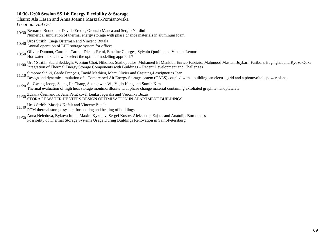### **10:30-12:00 Session SS 14: Energy Flexibility & Storage**

Chairs: Ala Hasan and Anna Joanna Marszal-Pomianowska *Location: Hal Øst*

10:30 Bernardo Buonomo, Davide Ercole, Oronzio Manca and Sergio Nardini

Numerical simulation of thermal energy storage with phase change materials in aluminum foam

- 10:40 Uros Stritih, Eneja Osterman and Vincenc Butala
- Annual operation of LHT storage system for offices
- 10:50 Olivier Dumont, Carolina Carmo, Dickes Rémi, Emeline Georges, Sylvain Quoilin and Vincent Lemort Hot water tanks : how to select the optimal modelling approach?
- 
- 11:00 Uroš Stritih, Saeid Seddegh, Wonjun Choi, Nikolaos Stathopoulos, Mohamed El Mankibi, Enrico Fabrizio, Mahmood Mastani Joybari, Fariborz Haghighat and Ryozo Ooka Integration of Thermal Energy Storage Components with Buildings – Recent Development and Challenges
- 11:10 Simpore Sidiki, Garde François, David Mathieu, Marc Olivier and Castaing-Lasvignottes Jean Design and dynamic simulation of a Compressed Air Energy Storage system (CAES) coupled with a building, an electric grid and a photovoltaic power plant.
- 11:20 Su-Gwang Jeong, Seong Jin Chang, Seunghwan Wi, Yujin Kang and Sumin Kim Thermal evaluation of high heat storage montmorillonite with phase change material containing exfoliated graphite nanoplatelets
- 11:30 Zuzana Čermanová, Jana Peráčková, Lenka Jágerská and Veronika Buzás STORAGE WATER HEATERS DESIGN OPTIMIZATION IN APARTMENT BUILDINGS
- 
- 11:40 Uroš Stritih, Mastjaž Kofalt and Vincenc Butala PCM thermal storage system for cooling and heating of buildings
- 11:50 Anna Nefedova, Bykova Iuliia, Maxim Kykolev, Sergei Kosov, Aleksandrs Zajacs and Anatolijs Borodinecs Possibility of Thermal Storage Systems Usage During Buildings Renovation in Saint-Petersburg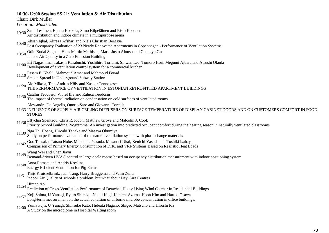### **10:30-12:00 Session SS 21: Ventilation & Air Distribution**

Chair: Dirk Müller

*Location: Musiksalen*

- 10:30 Sami Lestinen, Hannu Koskela, Simo Kilpeläinen and Risto Kosonen Air distribution and indoor climate in a multipurpose arena
- 10:40 Ahsan Iqbal, Alireza Afshari and Niels Christian Bergsøe
- Post Occupancy Evaluation of 23 Newly Renovated Apartments in Copenhagen Performance of Ventilation Systems
- 10:50 Odin Budal Søgnen, Hans Martin Mathisen, Maria Justo Alonso and Guangyu Cao
- Indoor Air Quality in a Zero Emission Building
- 11:00 Eri Nagashima, Takashi Kurabuchi, Yoshihiro Toriumi, Sihwan Lee, Tomoro Hori, Megumi Aibara and Atsushi Okuda Development of a ventilation control system for a commercial kitchen
- 11:10 Essam E. Khalil, Mahmoud Amer and Mahmoud Fouad
- Smoke Spread In Underground Subway Station
- 11:20 Alo Mikola, Teet-Andrus Kõiv and Kaspar Tennokese THE PERFORMANCE OF VENTILATION IN ESTONIAN RETROFITTED APARTMENT BUILDINGS
- 11:30 Catalin Teodosiu, Viorel Ilie and Raluca Teodosiu
- The impact of thermal radiation on condensation on cold surfaces of ventilated rooms

Alessandra De Angelis, Onorio Saro and Giovanni Cortella

- 11:33 INFLUENCE OF SUPPLY AIR CEILING DIFFUSERS ON SURFACE TEMPERATURE OF DISPLAY CABINET DOORS AND ON CUSTOMERS COMFORT IN FOOD **STORES**
- 
- 11:36 Eftychia Spentzou, Chris R. Iddon, Matthew Grove and Malcolm J. Cook Priority School Building Programme: An investigation into predicted occupant comfort during the heating season in naturally ventilated classrooms
- 11:39 Nga Thi Hoang, Hiroaki Tanaka and Masaya Okumiya
	- Study on performance evaluation of the natural ventilation system with phase change materials
- 11:42 Goo Tsusaka, Tatsuo Nobe, Mitsuhide Yasuda, Masanari Ukai, Kenichi Yasuda and Toshiki Isahaya Comparison of Primary Energy Consumption of DHC and VRF Systems Based on Realistic Heat Loads
- 
- 11:45 Wang Wei and Chen Jiayu Demand-driven HVAC control in large-scale rooms based on occupancy distribution measurement with indoor positioning system
- 
- 11:48 Anna Ramata and Andris Kreslins Energy Efficient Ventilation for Pig Farms
- 11:51 Thijs Kruisselbrink, Juan Tang, Harry Bruggema and Wim Zeiler
- Indoor Air Quality of schools a problem, but what about Day Care Centres
- 11:54 Hirano Aoi
	- Prediction of Cross-Ventilation Performance of Detached House Using Wind Catcher In Residential Buildings
- 11:57 Koji Shima, U Yanagi, Ryuto Shimizu, Naoki Kagi, Kenichi Azuma, Hoon Kim and Haruki Osawa Long-term measurement on the actual condition of airborne microbe concentration in office buildings.
- 12:00 Yuina Fujii, U Yanagi, Shinsuke Kato, Hideaki Nagano, Shigeo Matsuno and Hiroshi Ida
- A Study on the microbiome in Hospital Waiting room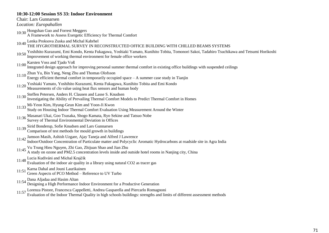### **10:30-12:00 Session SS 33: Indoor Environment**

| 10.00-12.00 Dession BB 00. Higger Environment                                                                                                                                                                               |  |
|-----------------------------------------------------------------------------------------------------------------------------------------------------------------------------------------------------------------------------|--|
| Chair: Lars Gunnarsen                                                                                                                                                                                                       |  |
| Location: Europahallen                                                                                                                                                                                                      |  |
| 10:30 Hongshan Guo and Forrest Meggers                                                                                                                                                                                      |  |
| A Framework to Assess Exergetic Efficiency for Thermal Comfort                                                                                                                                                              |  |
| 10:40 Lenka Proksova Zuska and Michal Kabrhel<br>10:40 THE HYGROTHERMAL SURVEY IN RECONSTRUCTED OFFICE BUILDING WITH CHILLED BEAMS SYSTEMS                                                                                  |  |
|                                                                                                                                                                                                                             |  |
| Yoshihito Kurazumi, Emi Kondo, Kenta Fukagawa, Yoshiaki Yamato, Kunihito Tobita, Tomonori Sakoi, Tadahiro Tsuchikawa and Tetsumi Horikoshi<br>10:50<br>Improvement of working thermal environment for female office workers |  |
|                                                                                                                                                                                                                             |  |
| 11:00 Karsten Voss and Tjado Voß<br>Integrated design approach for improving personal summer thermal comfort in existing office buildings with suspended ceilings                                                           |  |
| Zhun Yu, Bin Yang, Neng Zhu and Thomas Olofsson<br>11:10                                                                                                                                                                    |  |
| Energy efficient thermal comfort in temporarily occupied space - A summer case study in Tianjin                                                                                                                             |  |
| Yoshiaki Yamato, Yoshihito Kurazumi, Kenta Fukagawa, Kunihito Tobita and Emi Kondo<br>11:20                                                                                                                                 |  |
| Measurements of clo value using heat flux sensors and human body                                                                                                                                                            |  |
| Steffen Petersen, Anders H. Clausen and Lasse S. Knudsen<br>11:30                                                                                                                                                           |  |
| Investigating the Ability of Prevailing Thermal Comfort Models to Predict Thermal Comfort in Homes                                                                                                                          |  |
| 11:33 Mi-Yeon Kim, Hyung-Geun Kim and Yoon-Ji Kwon                                                                                                                                                                          |  |
| Study on Housing Indoor Thermal Comfort Evaluation Using Measurement Around the Winter                                                                                                                                      |  |
| Masanari Ukai, Goo Tsusaka, Shogo Kamata, Ryo Sekine and Tatsuo Nobe<br>11:36                                                                                                                                               |  |
| Survey of Thermal Environmental Deviation in Offices                                                                                                                                                                        |  |
| Sirid Bonderup, Sofie Knudsen and Lars Gunnarsen<br>11:39                                                                                                                                                                   |  |
| Comparison of test methods for mould growth in buildings                                                                                                                                                                    |  |
| 11:42 Jamson Masih, Ashish Uzgare, Ajay Taneja and Alfred J Lawrence<br>Indoor/Outdoor Concentration of Particulate matter and Polycyclic Aromatic Hydrocarbons at roadside site in Agra India                              |  |
|                                                                                                                                                                                                                             |  |
| 11:45 Vu Trung Hieu Nguyen, Zhi Gao, Zhijuan Shao and Jian Zhu<br>A study on ozone and PM2.5 concentration levels inside and outside hotel rooms in Nanjing city, China                                                     |  |
|                                                                                                                                                                                                                             |  |
| Lucia Kudiváni and Michal Krajčík<br>11:48                                                                                                                                                                                  |  |
| Evaluation of the indoor air quality in a library using natural CO2 as tracer gas                                                                                                                                           |  |
| Karna Dahal and Jouni Laurikainen<br>11:51                                                                                                                                                                                  |  |
| Green Aspects of PCO Method - Reference to UV Turbo                                                                                                                                                                         |  |
| 11:54 Dana Aljadaa and Hasim Altan<br>Designing a High Performance Indoor Environment for a Productive Generation                                                                                                           |  |
| Lorenzo Distore, Francesco Canpelletti, Andrea Gasparella and Diercarlo Domagnoni                                                                                                                                           |  |
|                                                                                                                                                                                                                             |  |

11:57 Lorenza Pistore, Francesca Cappelletti, Andrea Gasparella and Piercarlo Romagnoni Evaluation of the Indoor Thermal Quality in high schools buildings: strengths and limits of different assessment methods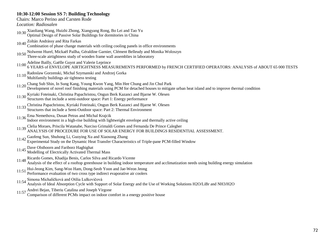## **10:30-12:00 Session SS 7: Building Technology**

#### Chairs: Marco Perino and Carsten Rode

*Location: Radiosalen*

- 10:30 Xiaoliang Wang, Huizhi Zhong, Xiangyang Rong, Bo Lei and Tao Yu
- Optimal Design of Passive Solar Buildings for dormitories in China
- 10:40 Zoltán Andrássy and Rita Farkas
- Combination of phase change materials with ceiling cooling panels in office environments
- 10:50 Nolwenn Hurel, Mickaël Pailha, Géraldine Garnier, Clément Belleudy and Monika Woloszyn
- Three-scale airtightness study of wooden frame wall assemblies in laboratory
- 11:00 Adeline Bailly, Gaëlle Guyot and Valerie Leprince
	- 6 YEARS of ENVELOPE AIRTIGHTNESS MEASUREMENTS PERFORMED by FRENCH CERTIFIED OPERATORS: ANALYSIS of ABOUT 65 000 TESTS
- 11:10 Radoslaw Gorzenski, Michal Szymanski and Andrzej Gorka
- Multifamily buildings air tightness testing
- 
- 11:20 Chang Sub Shin, In Sung Kang, Young Kwon Yang, Min Hee Chung and Jin Chul Park Development of novel roof finishing materials using PCM for detached houses to mitigate urban heat island and to improve thermal condition
- 11:30 Kyriaki Foteinaki, Christina Papachristou, Ongun Berk Kazanci and Bjarne W. Olesen
- Structures that include a semi-outdoor space: Part 1: Energy performance
- 11:33 Christina Papachristou, Kyriaki Foteinaki, Ongun Berk Kazanci and Bjarne W. Olesen Structures that include a Semi-Outdoor space: Part 2: Thermal Environment
- 
- 11:36 Ema Nemethova, Dusan Petras and Michal Krajcik
	- Indoor environment in a high-rise building with lightweight envelope and thermally active ceiling
- 11:39 Clelia Moraes, Priscila Watanabe, Narciso Grimaldi Gomes and Fernanda De Prince Calegher ANALYSIS OF PROCEDURE FOR USE OF SOLAR ENERGY FOR BUILDINGS RESIDENTIAL ASSESSMENT.
- 11:42 Gaofeng Sun, Shuhong Li, Guoying Xu and Xiaosong Zhang
- Experimental Study on the Dynamic Heat Transfer Characteristics of Triple-pane PCM-filled Window
- 11:45 Dave Olsthoorn and Fariborz Haghighat
- Modelling of Electrically Activated Thermal Mass
- 11:48 Ricardo Gomes, Khadija Benis, Carlos Silva and Ricardo Vicente
- Analysis of the effect of a rooftop greenhouse in building indoor temperature and acclimatization needs using building energy simulation
- 11:51 Hui-Jeong Kim, Sang-Woo Ham, Dong-Seob Yoon and Jae-Weon Jeong
- Performance evaluation of two cross type indirect evaporative air coolers
- 11:54 Simona Michaličková and Otília Lulkovičová

Analysis of Ideal Absorption Cycle with Support of Solar Energy and the Use of Working Solutions H2O/LiBr and NH3/H2O

- 11:57 Andrei Bejan, Tiberiu Catalina and Joseph Virgone
	- Comparison of different PCMs impact on indoor comfort in a energy positive house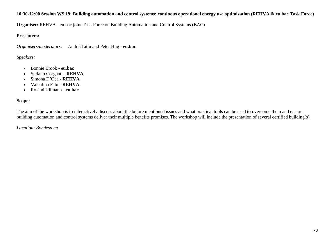## **10:30-12:00 Session WS 19: Building automation and control systems: continous operational energy use optimization (REHVA & eu.bac Task Force)**

**Organiser:** REHVA - eu.bac joint Task Force on Building Automation and Control Systems (BAC)

## **Presenters:**

*Organisers/moderators*: Andrei Litiu and Peter Hug - **eu.bac**

# *Speakers:*

- Bonnie Brook **eu.bac**
- Stefano Corgnati **REHVA**
- Simona D"Oca **REHVA**
- Valentina Fabi **REHVA**
- Roland Ullmann **eu.bac**

## **Scope:**

The aim of the workshop is to interactively discuss about the before mentioned issues and what practical tools can be used to overcome them and ensure building automation and control systems deliver their multiple benefits promises. The workshop will include the presentation of several certified building(s).

## *Location: Bondestuen*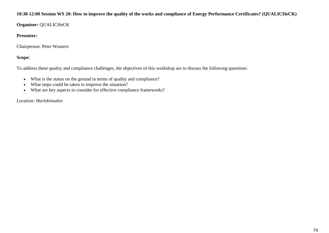## **10:30-12:00 Session WS 20: How to improve the quality of the works and compliance of Energy Performance Certificates? (QUALICHeCK)**

**Organiser:** QUALICHeCK

## **Presenter:**

Chairperson: Peter Wouters

# **Scope:**

To address these quality and compliance challenges, the objectives of this workshop are to discuss the following questions:

- What is the status on the ground in terms of quality and compliance?
- What steps could be taken to improve the situation?
- What are key aspects to consider for effective compliance frameworks?

*Location: Harlekinsalen*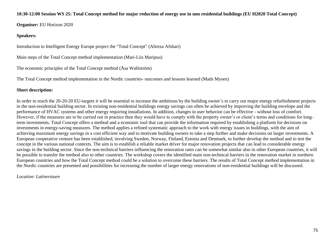#### **10:30-12:00 Session WS 25: Total Concept method for major reduction of energy use in non residential buildings (EU H2020 Total Concept)**

**Organiser:** EU Horizon 2020

## **Speakers:**

Introduction to Intelligent Energy Europe project the "Total Concept" (Alireza Afshari)

Main steps of the Total Concept method implementation (Mari-Liis Maripuu)

The economic principles of the Total Concept method (Åsa Wahlström)

The Total Concept method implementation in the Nordic countries- outcomes and lessons learned (Mads Mysen)

# **Short description:**

In order to reach the 20-20-20 EU-targets it will be essential to increase the ambitions by the building owner's to carry out major energy refurbishment projects in the non-residential building sector. In existing non-residential buildings energy savings can often be achieved by improving the building envelope and the performance of HVAC systems and other energy requiring installations. In addition, changes in user behavior can be effective - without loss of comfort. However, if the measures are to be carried out in practice then they would have to comply with the property owner's or client's terms and conditions for long– term investments. Total Concept offers a method and a economic tool that can provide the information required by establishing a platform for decisions on investments in energy-saving measures. The method applies a refined systematic approach to the work with energy issues in buildings, with the aim of achieving maximum energy savings in a cost efficient way and to motivate building owners to take a step further and make decisions on larger investments. A European cooperative venture has been established, involving Sweden, Norway, Finland, Estonia and Denmark, to further develop the method and to test the concept in the various national contexts. The aim is to establish a reliable market driver for major renovation projects that can lead to considerable energy savings in the building sector. Since the non-technical barriers influencing the renovation rates can be somewhat similar also in other European countries, it will be possible to transfer the method also to other countries. The workshop covers the identified main non-technical barriers in the renovation market in northern European countries and how the Total Concept method could be a solution to overcome these barriers. The results of Total Concept method implementation in the Nordic countries are presented and possibilities for increasing the number of larger energy renovations of non-residential buildings will be discussed.

## *Location: Latinerstuen*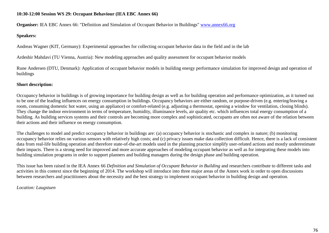## **10:30-12:00 Session WS 29: Occupant Behaviour (IEA EBC Annex 66)**

**Organiser:** IEA EBC Annex 66: "Definition and Simulation of Occupant Behavior in Buildings" www.annex66.org

#### **Speakers:**

Andreas Wagner (KIT, Germany): Experimental approaches for collecting occupant behavior data in the field and in the lab

Ardeshir Mahdavi (TU Vienna, Austria): New modeling approaches and quality assessment for occupant behavior models

Rune Andersen (DTU, Denmark): Application of occupant behavior models in building energy performance simulation for improved design and operation of buildings

## **Short description:**

Occupancy behavior in buildings is of growing importance for building design as well as for building operation and performance optimization, as it turned out to be one of the leading influences on energy consumption in buildings. Occupancy behaviors are either random, or purpose-driven (e.g. entering/leaving a room, consuming domestic hot water, using an appliance) or comfort-related (e.g. adjusting a thermostat, opening a window for ventilation, closing blinds). They change the indoor environment in terms of temperature, humidity, illuminance levels, air quality etc. which influences total energy consumption of a building. As building services systems and their controls are becoming more complex and sophisticated, occupants are often not aware of the relation between their actions and their influence on energy consumption.

The challenges to model and predict occupancy behavior in buildings are: (a) occupancy behavior is stochastic and complex in nature; (b) monitoring occupancy behavior relies on various sensors with relatively high costs; and (c) privacy issues make data collection difficult. Hence, there is a lack of consistent data from real-life building operation and therefore state-of-the-art models used in the planning practice simplify user-related actions and mostly underestimate their impacts. There is a strong need for improved and more accurate approaches of modeling occupant behavior as well as for integrating these models into building simulation programs in order to support planners and building managers during the design phase and building operation.

This issue has been raised in the IEA Annex 66 *Definition and Simulation of Occupant Behavior in Building* and researchers contribute to different tasks and activities in this context since the beginning of 2014. The workshop will introduce into three major areas of the Annex work in order to open discussions between researchers and practitioners about the necessity and the best strategy to implement occupant behavior in building design and operation.

#### *Location: Laugstuen*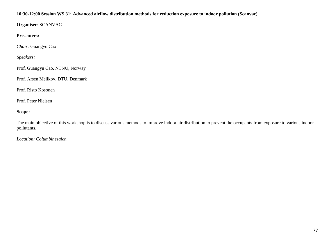## **10:30-12:00 Session WS 31: Advanced airflow distribution methods for reduction exposure to indoor pollution (Scanvac)**

**Organiser**: SCANVAC

**Presenters:**

*Chair:* Guangyu Cao

*Speakers:*

Prof. Guangyu Cao, NTNU, Norway

Prof. Arsen Melikov, DTU, Denmark

Prof. Risto Kosonen

Prof. Peter Nielsen

# **Scope:**

The main objective of this workshop is to discuss various methods to improve indoor air distribution to prevent the occupants from exposure to various indoor pollutants.

*Location: Columbinesalen*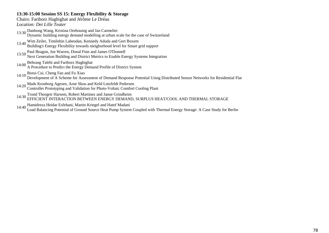## **13:30-15:00 Session SS 15: Energy Flexibility & Storage**

Chairs: Fariborz Haghighat and Jérôme Le Dréau *Location: Det Lille Teater*

- 13:30 Danhong Wang, Kristina Orehounig and Jan Carmeliet Dynamic building energy demand modelling at urban scale for the case of Switzerland
- 13:40 Wim Zeiler, Timilehin Labeodan, Kennedy Aduda and Gert Boxem Building's Energy Flexibility towards nieigborhood level for Smart grid support
- 
- 13:50 Paul Beagon, Joe Warren, Donal Finn and James O'Donnell Next Generation Building and District Metrics to Enable Energy Systems Integration
- 14:00 Behrang Talebi and Fariborz Haghighat A Procedure to Predict the Energy Demand Profile of District System
- 14:10 Borui Cui, Cheng Fan and Fu Xiao
- Development of A Scheme for Assessment of Demand Response Potential Using Distributed Sensor Networks for Residential Flat
- 14:20 Mads Kronborg Agesen, Arne Skou and Keld Lotzfeldt Pedersen Controller Prototyping and Validation for Photo-Voltaic Comfort Cooling Plant
- 14:30 Trond Thorgeir Harsem, Robert Martinez and Janne Grindheim EFFICIENT INTERACTION BETWEEN ENERGY DEMAND, SURPLUS HEAT/COOL AND THERMAL STORAGE
- 
- 14:40 Hamidreza Heidar Esfehani, Martin Kriegel and Hatef Madani Load Balancing Potential of Ground Source Heat Pump System Coupled with Thermal Energy Storage: A Case Study for Berlin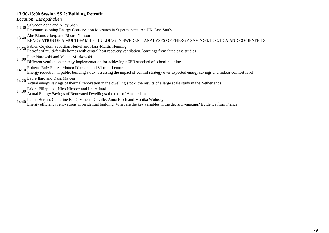## **13:30-15:00 Session SS 2: Building Retrofit**

*Location: Europahallen*

13:30 Salvador Acha and Nilay Shah

Re-commissioning Energy Conservation Measures in Supermarkets: An UK Case Study

# 13:40 Åke Blomsterberg and Rikard Nilsson RENOVATION OF A MULTI-FAMILY BUILDING IN SWEDEN – ANALYSES OF ENERGY SAVINGS, LCC, LCA AND CO-BENEFITS

- 
- 13:50 Fabien Coydon, Sebastian Herkel and Hans-Martin Henning Retrofit of multi-family homes with central heat recovery ventilation, learnings from three case studies
- 
- 14:00 Piotr Narowski and Maciej Mijakowski Different ventilation strategy implementation for achieving nZEB standard of school building
- 14:10 Roberto Ruiz Flores, Matteo D'antoni and Vincent Lemort

Energy reduction in public building stock: assessing the impact of control strategy over expected energy savings and indoor comfort level

- 14:20 Laure Itard and Dasa Majcen Actual energy savings of thermal renovation in the dwelling stock: the results of a large scale study in the Netherlands
- 14:30 Faidra Filippidou, Nico Nieboer and Laure Itard
- Actual Energy Savings of Renovated Dwellings: the case of Amsterdam
- 14:40 Lamia Berrah, Catherine Buhé, Vincent Clivillé, Anna Risch and Monika Woloszyn

Energy efficiency renovations in residential building: What are the key variables in the decision-making? Evidence from France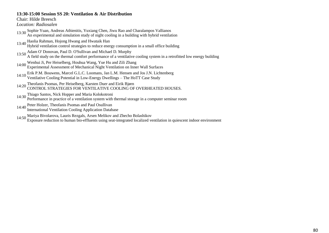# **13:30-15:00 Session SS 20: Ventilation & Air Distribution**

Chair: Hilde Breesch

*Location: Radiosalen*

- 13:30 Sophie Yuan, Andreas Athienitis, Yuxiang Chen, Jiwu Rao and Charalampos Vallianos An experimental and simulation study of night cooling in a building with hybrid ventilation
- 13:40 Haolia Rahman, Hojong Hwang and Hwataik Han
- Hybrid ventilation control strategies to reduce energy consumption in a small office building
- 13:50 Adam O' Donovan, Paul D. O'Sullivan and Michael D. Murphy
- A field study on the thermal comfort performance of a ventilative cooling system in a retrofitted low energy building
- 14:00 Wenhui Ji, Per Heiselberg, Houhua Wang, Yue Hu and Zili Zhang Experimental Assessment of Mechanical Night Ventilation on Inner Wall Surfaces
- 14:10 Erik P.M. Bouwens, Marcel G.L.C. Loomans, Jan L.M. Hensen and Jos J.N. Lichtenberg Ventilative Cooling Potential in Low-Energy Dwellings The HoTT Case Study
- 14:20 Theofanis Psomas, Per Heiselberg, Karsten Duer and Eirik Bjørn CONTROL STRATEGIES FOR VENTILATIVE COOLING OF OVERHEATED HOUSES.
- 14:30 Thiago Santos, Nick Hopper and Maria Kolokotroni Performance in practice of a ventilation system with thermal storage in a computer seminar room
- 
- 14:40 Peter Holzer, Theofanis Psomas and Paul Osullivan International Ventilation Cooling Application Database

14:50 Mariya Bivolarova, Lauris Rezgals, Arsen Melikov and Zhecho Bolashikov

Exposure reduction to human bio-effluents using seat-integrated localized ventilation in quiescent indoor environment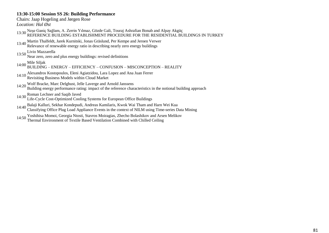## **13:30-15:00 Session SS 26: Building Performance**

Chairs: Jaap Hogeling and Jørgen Rose

*Location: Hal Øst*

- 13:30 Neşe Ganiç Sağlam, A. Zerrin Yılmaz, Gözde Gali, Touraj Ashrafian Bonab and Alpay Akgüç<br>REFERENCE BUILDING ESTABLISHMENT PROCEDURE FOR THE RESIDENTIAL BUILDINGS IN TURKEY
- 13:40 Martin Thalfeldt, Jarek Kurnitski, Jonas Gräslund, Per Kempe and Jeroen Verwer Relevance of renewable energy ratio in describing nearly zero energy buildings

13:50 Livio Mazzarella Near zero, zero and plus energy buildings: revised definitions

- 14:00 Mile Siljak BUILDING ENERGY EFFICIENCY CONFUSION MISCONCEPTION REALITY
- 14:10 Alexandros Kostopoulos, Eleni Agiatzidou, Lara Lopez and Ana Juan Ferrer Revisiting Business Models within Cloud Market
- 
- 14:20 Wolf Bracke, Marc Delghust, Jelle Laverge and Arnold Janssens Building energy performance rating: impact of the reference characteristics in the notional building approach
- 
- 14:30 Roman Lechner and Saqib Javed Life-Cycle Cost-Optimized Cooling Systems for European Office Buildings
- 14:40 Balaji Kalluri, Sekhar Kondepudi, Andreas Kamilaris, Kwok Wai Tham and Harn Wei Kua Classifying Office Plug Load Appliance Events in the context of NILM using Time-series Data Mining
- 14:50 Yoshihisa Momoi, Georgia Ntosti, Stavros Moiragias, Zhecho Bolashikov and Arsen Melikov Thermal Environment of Textile Based Ventilation Combined with Chilled Ceiling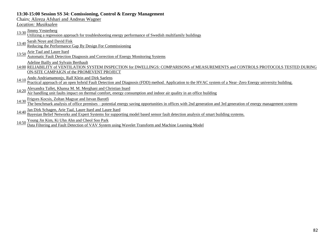## **13:30-15:00 Session SS 34: Comissioning, Control & Energy Management**

Chairs: Alireza Afshari and Andreas Wagner

*Location: Musiksalen*

13:30 *Jimmy Vesterberg*<br>Utilizing a regression approach for troubleshooting energy performance of Swedish multifamily buildings

13:40 Sarah Noye and David Fisk<br>Reducing the Performance Gap By Design For Commissioning

13:50 Arie Taal and Laure Itard<br>
Automatic Fault Detection Diagnosis and Correction of Energy Monitoring Systems

Adeline Bailly and Sylvain Berthault

14:00 RELIABILITY of VENTILATION SYSTEM INSPECTION for DWELLINGS: COMPARISONS of MEASUREMENTS and CONTROLS PROTOCOLS TESTED DURING ON-SITE CAMPAIGN of the PROMEVENT PROJECT

14:10 Ando Andriamamonjy, Ralf Klein and Dirk Saelens<br>Practical approach of an open hybrid Fault Detection and Diagnosis (FDD) method. Application to the HVAC system of a Near–Zero Energy university building.

14:20 Alexandra Tallet, Khansa M. M. Merghani and Christian Inard

Air handling unit faults impact on thermal comfort, energy consumption and indoor air quality in an office building

14:30 Frigyes Kocsis, Zoltan Magyar and Istvan Barotfi<br>The benchmark analysis of office premises – potential energy saving opportunities in offices with 2nd generation and 3rd generation of energy management systems

14:40 Jan Dirk Schagen, Arie Taal, Laure Itard and Laure Itard

Bayesian Belief Networks and Expert Systems for supporting model based sensor fault detection analysis of smart building systems.

14:50 Young Jin Kim, Ki Uhn Ahn and Cheol Soo Park<br>Data Filtering and Fault Detection of VAV System using Wavelet Transform and Machine Learning Model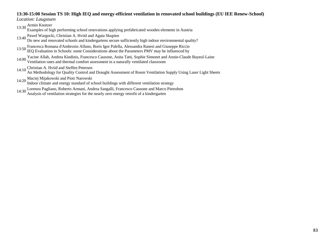#### **13:30-15:00 Session TS 10: High IEQ and energy-efficient ventilation in renovated school buildings (EU IEE Renew-School)**

*Location: Laugstuen*

13:30 Armin Knotzer

Examples of high performing school renovations applying prefabricated wooden elements in Austria

13:40 Pawel Wargocki, Christian A. Hviid and Agata Skupien Do new and renovated schools and kindergartens secure sufficiently high indoor environmental quality?

- 13:50 Francesca Romana d'Ambrosio Alfano, Boris Igor Palella, Alessandra Ranesi and Giuseppe Riccio IEQ Evaluation in Schools: some Considerations about the Parameters PMV may be influenced by
- Yacine Allab, Andrea Kindinis, Francesco Causone, Anita Tatti, Sophie Simonet and Annie-Claude Bayeul-Laine 14:00 Facture Anao, Anarca Banamo, Francesco Called Canada (1998) Ventilated classroom
- 14:10 Christian A. Hviid and Steffen Petersen

An Methodology for Quality Control and Draught Assessment of Room Ventilation Supply Using Laser Light Sheets

14:20 Maciej Mijakowski and Piotr Narowski

Indoor climate and energy standard of school buildings with different ventilation strategy

14:30 Lorenzo Pagliano, Roberto Armani, Andrea Sangalli, Francesco Causone and Marco Pietrobon Analysis of ventilation strategies for the nearly zero energy retrofit of a kindergarten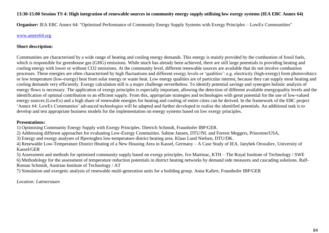## **13:30-15:00 Session TS 4: High integration of renewable sources in community energy supply utilising low exergy systems (IEA EBC Annex 64)**

**Organiser:** IEA EBC Annex 64: "Optimised Performance of Community Energy Supply Systems with Exergy Principles – LowEx Communities"

## www.annex64.org

#### **Short description:**

Communities are characterised by a wide range of heating and cooling energy demands. This energy is mainly provided by the combustion of fossil fuels, which is responsible for greenhouse gas (GHG) emissions. While much has already been achieved, there are still large potentials in providing heating and cooling energy with lower or without CO2 emissions. At the community level, different renewable sources are available that do not involve combustion processes. These energies are often characterised by high fluctuations and different exergy levels or "qualities": e.g. electricity (high-exergy) from photovoltaics or low temperature (low-exergy) heat from solar energy or waste heat. Low energy qualities are of particular interest, because they can supply most heating and cooling demands very efficiently. Exergy calculation still is a major challenge nevertheless. To identify potential savings and synergies holistic analysis of energy flows is necessary. The application of exergy principles is especially important, allowing the detection of different available energyquality levels and the identification of optimal contribution to an efficient supply. From this, appropriate strategies and technologies with great potential for the use of low-valued energy sources (LowEx) and a high share of renewable energies for heating and cooling of entire cities can be derived. In the framework of the EBC project 'Annex 64: LowEx Communties' advanced technologies will be adapted and further developed to realise the identified potentials. An additional task is to develop and test appropriate business models for the implementation on energy systems based on low exergy principles.

#### **Presentations:**

1) Optimising Community Energy Supply with Exergy Principles. Dietrich Schmidt, Fraunhofer IBP/GER.

2) Addressing different approaches for evaluating Low-Exergy Commuities. Sabine Jansen, DTU/NL and Forrest Meggers, Princeton/USA,

3) Energy and exergy analyses of Bjerringbro low-temperature district heating area. Klaus Lund Nielsen, DTU/DK.

4) Renewable Low-Temperature District Heating of a New Housing Area in Kassel, Germany – A Case Study of IEA. Janybek Orozaliev, University of Kassel/GER

5) Assessment and methods for optimised community supply based on exergy principles. Ivo Martinac, KTH – The Royal Institute of Technology / SWE

6) Methodology for the assessment of temperature reduction potentials in district heating networks by demand side measures and cascading solutions. Ralf-Roman Schmidt, Austrian Institute of Technology / AT

7) Simulation and exergetic analysis of renewable multi-generation units for a building group. Anna Kallert, Fraunhofer IBP/GER

*Location: Latinerstuen*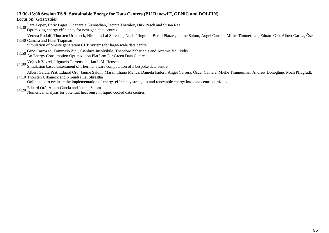## **13:30-15:00 Session TS 9: Sustainable Energy for Data Centres (EU RenewIT, GENiC and DOLFIN)**

*Location: Gæstesalen*

13:30 Lara Lopez, Enric Pages, Dhanaraja Kasinathan, Jacinta Townley, Dirk Pesch and Susan Rea

Optimizing energy efficiency for next-gen data centres

13:40 Càmara and Hans Trapman Verena Rudolf, Thorsten Urbaneck, Nirendra Lal Shrestha, Noah Pflugradt, Bernd Platzer, Jaume Salom, Angel Carrera, Mieke Timmerman, Eduard Oró, Albert Garcia, Òscar

Simulation of on-site generation CHP systems for large-scale data centre

- 13:50 Gino Carrozzo, Tommaso Zini, Gianluca Insolvibile, Theodore Zahariadis and Artemis Voulkidis
- An Energy Consumption Optimization Platform For Green Data Centres
- 
- 14:00 Vojtech Zavrel, J.Ignacio Torrens and Jan L.M. Hensen Simulation based-assessment of Thermal aware computation of a bespoke data centre

Albert Garcia Prat, Eduard Oró, Jaume Salom, Massimiliano Manca, Daniela Isidori, Angel Carrera, Òscar Càmara, Mieke Timmerman, Andrew Donoghue, Noah Pflugradt,

14:10 Thorsten Urbaneck and Nirendra Lal Shrestha

Online tool to evaluate the implementation of energy efficiency strategies and renewable energy into data centre portfolio

14:20 Eduard Oró, Albert Garcia and Jaume Salom

Numerical analysis for potential heat reuse in liquid cooled data centres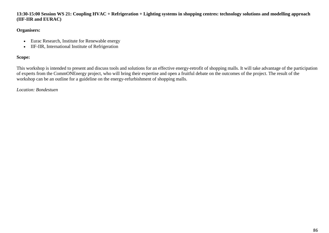**13:30-15:00 Session WS 21: Coupling HVAC + Refrigeration + Lighting systems in shopping centres: technology solutions and modelling approach (IIF-IIR and EURAC)**

## **Organisers:**

- Eurac Research, Institute for Renewable energy
- IIF-IIR, International Institute of Refrigeration

# **Scope:**

This workshop is intended to present and discuss tools and solutions for an effective energy-retrofit of shopping malls. It will take advantage of the participation of experts from the CommONEnergy project, who will bring their expertise and open a fruitful debate on the outcomes of the project. The result of the workshop can be an outline for a guideline on the energy-refurbishment of shopping malls.

## *Location: Bondestuen*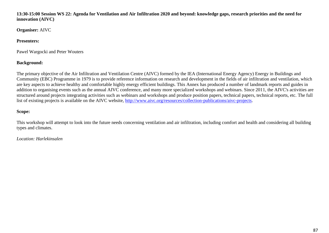**13:30-15:00 Session WS 22: Agenda for Ventilation and Air Infiltration 2020 and beyond: knowledge gaps, research priorities and the need for innovation (AIVC)**

**Organiser:** AIVC

# **Presenters:**

Pawel Wargocki and Peter Wouters

# **Background:**

The primary objective of the Air Infiltration and Ventilation Centre (AIVC) formed by the IEA (International Energy Agency) Energy in Buildings and Community (EBC) Programme in 1979 is to provide reference information on research and development in the fields of air infiltration and ventilation, which are key aspects to achieve healthy and comfortable highly energy efficient buildings. This Annex has produced a number of landmark reports and guides in addition to organising events such as the annual AIVC conference, and many more specialized workshops and webinars. Since 2011, the AIVC's activities are structured around projects integrating activities such as webinars and workshops and produce position papers, technical papers, technical reports, etc. The full list of existing projects is available on the AIVC website, http://www.aivc.org/resources/collection-publications/aivc-projects.

# **Scope:**

This workshop will attempt to look into the future needs concerning ventilation and air infiltration, including comfort and health and considering all building types and climates.

# *Location: Harlekinsalen*